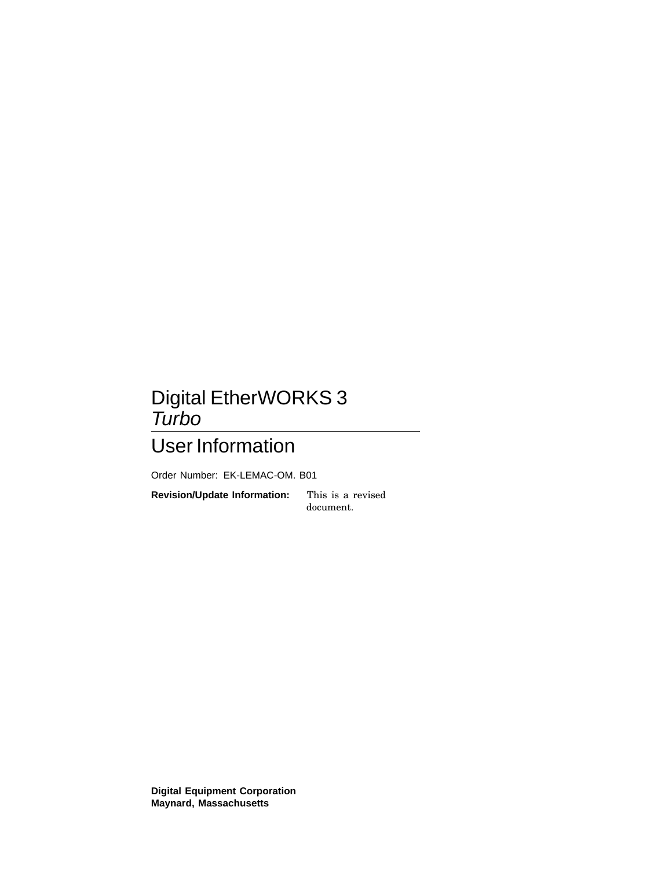## Digital EtherWORKS 3 Turbo

## User Information

Order Number: EK-LEMAC-OM. B01

**Revision/Update Information:** This is a revised

document.

**Digital Equipment Corporation Maynard, Massachusetts**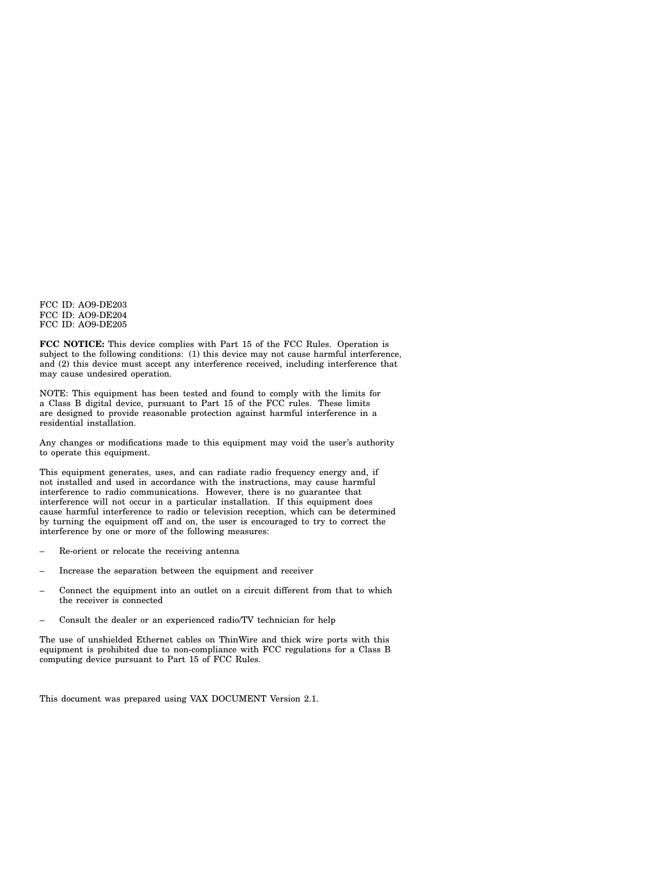FCC ID: AO9-DE203 FCC ID: AO9-DE204 FCC ID: AO9-DE205

**FCC NOTICE:** This device complies with Part 15 of the FCC Rules. Operation is subject to the following conditions: (1) this device may not cause harmful interference, and (2) this device must accept any interference received, including interference that may cause undesired operation.

NOTE: This equipment has been tested and found to comply with the limits for a Class B digital device, pursuant to Part 15 of the FCC rules. These limits are designed to provide reasonable protection against harmful interference in a residential installation.

Any changes or modifications made to this equipment may void the user's authority to operate this equipment.

This equipment generates, uses, and can radiate radio frequency energy and, if not installed and used in accordance with the instructions, may cause harmful interference to radio communications. However, there is no guarantee that interference will not occur in a particular installation. If this equipment does cause harmful interference to radio or television reception, which can be determined by turning the equipment off and on, the user is encouraged to try to correct the interference by one or more of the following measures:

- Re-orient or relocate the receiving antenna
- Increase the separation between the equipment and receiver
- Connect the equipment into an outlet on a circuit different from that to which the receiver is connected
- Consult the dealer or an experienced radio/TV technician for help

The use of unshielded Ethernet cables on ThinWire and thick wire ports with this equipment is prohibited due to non-compliance with FCC regulations for a Class B computing device pursuant to Part 15 of FCC Rules.

This document was prepared using VAX DOCUMENT Version 2.1.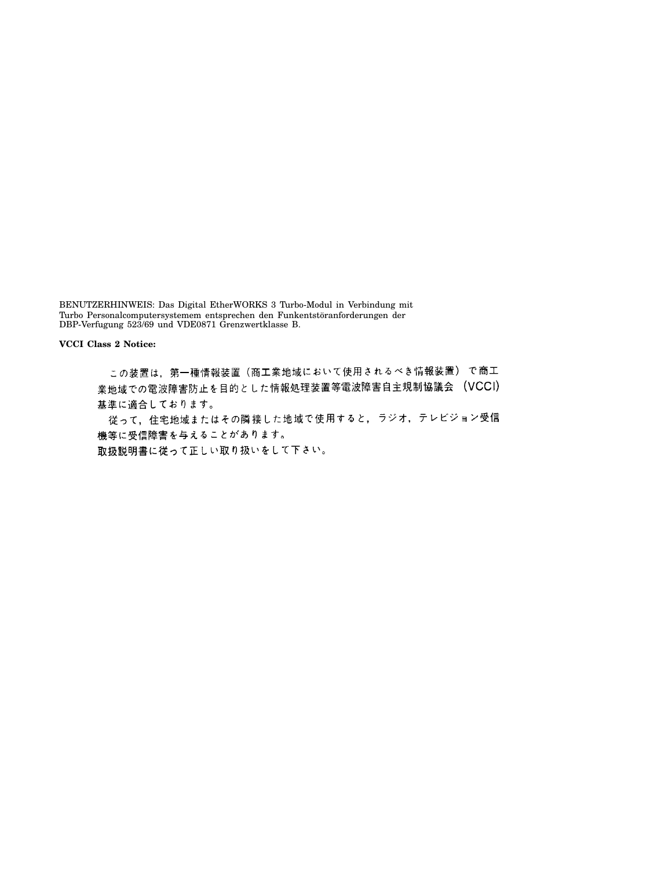BENUTZERHINWEIS: Das Digital EtherWORKS 3 Turbo-Modul in Verbindung mit Turbo Personalcomputersystemem entsprechen den Funkentstöranforderungen der DBP-Verfugung 523/69 und VDE0871 Grenzwertklasse B.

**VCCI Class 2 Notice:**

この装置は,第一種情報装置(商工業地域において使用されるべき情報装置)で商工 業地域での電波障害防止を目的とした情報処理装置等電波障害自主規制協議会 (VCCI) 基準に適合しております。

従って、住宅地域またはその隣接した地域で使用すると、ラジオ、テレビジョン受信 機等に受信障害を与えることがあります。

取扱説明書に従って正しい取り扱いをして下さい。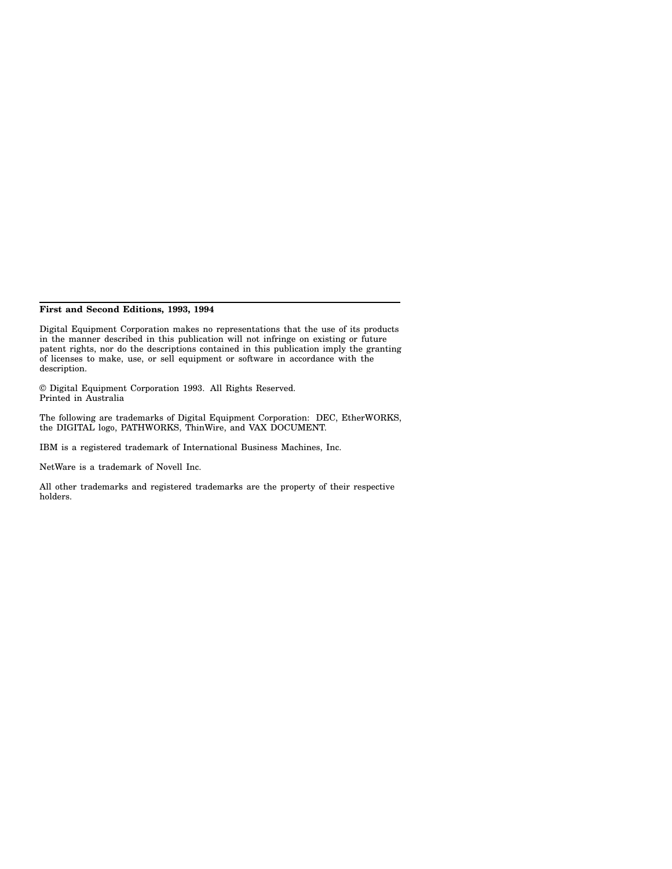#### **First and Second Editions, 1993, 1994**

Digital Equipment Corporation makes no representations that the use of its products in the manner described in this publication will not infringe on existing or future patent rights, nor do the descriptions contained in this publication imply the granting of licenses to make, use, or sell equipment or software in accordance with the description.

© Digital Equipment Corporation 1993. All Rights Reserved. Printed in Australia

The following are trademarks of Digital Equipment Corporation: DEC, EtherWORKS, the DIGITAL logo, PATHWORKS, ThinWire, and VAX DOCUMENT.

IBM is a registered trademark of International Business Machines, Inc.

NetWare is a trademark of Novell Inc.

All other trademarks and registered trademarks are the property of their respective holders.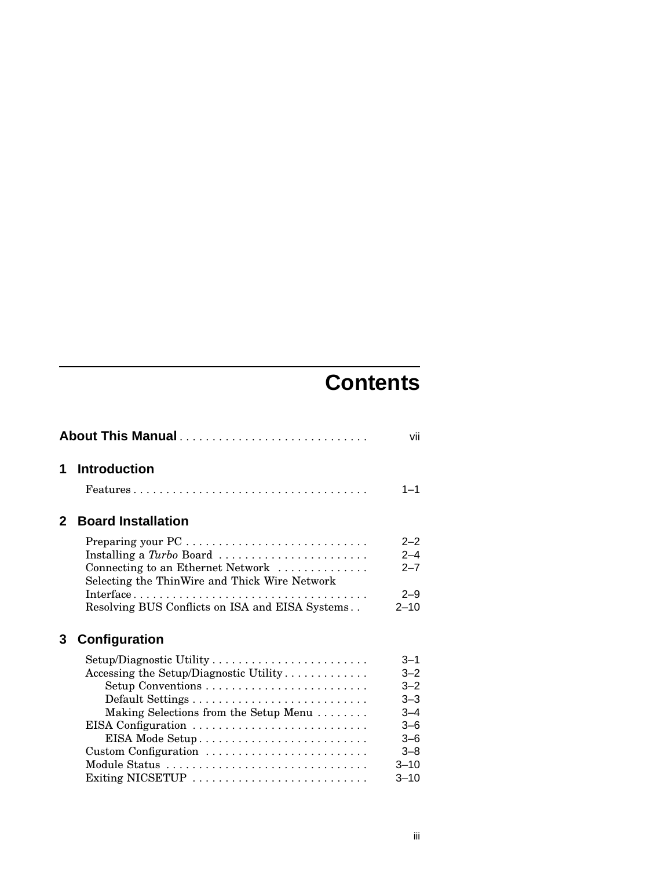# **Contents**

| About This Manual<br>vii |                                                                                                                                                                                                                                           |                                                                                                            |  |
|--------------------------|-------------------------------------------------------------------------------------------------------------------------------------------------------------------------------------------------------------------------------------------|------------------------------------------------------------------------------------------------------------|--|
| 1                        | <b>Introduction</b>                                                                                                                                                                                                                       | $1 - 1$                                                                                                    |  |
| $\mathbf{2}$             | <b>Board Installation</b>                                                                                                                                                                                                                 |                                                                                                            |  |
|                          | Preparing your PC<br>Connecting to an Ethernet Network<br>Selecting the ThinWire and Thick Wire Network                                                                                                                                   | $2 - 2$<br>$2 - 4$<br>$2 - 7$                                                                              |  |
|                          | Resolving BUS Conflicts on ISA and EISA Systems                                                                                                                                                                                           | $2 - 9$<br>$2 - 10$                                                                                        |  |
| 3                        | Configuration                                                                                                                                                                                                                             |                                                                                                            |  |
|                          | Setup/Diagnostic Utility<br>Accessing the Setup/Diagnostic Utility<br>Setup Conventions<br>Default Settings<br>Making Selections from the Setup Menu<br>EISA Configuration<br>EISA Mode Setup<br>Custom Configuration<br>Exiting NICSETUP | $3 - 1$<br>$3 - 2$<br>$3 - 2$<br>$3 - 3$<br>$3 - 4$<br>$3 - 6$<br>$3-6$<br>$3 - 8$<br>$3 - 10$<br>$3 - 10$ |  |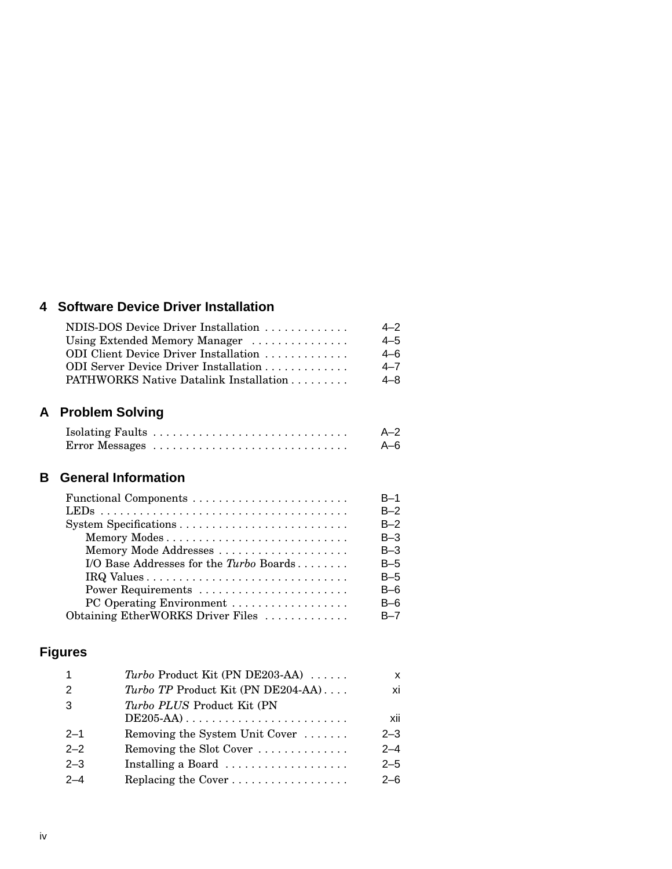### **4 Software Device Driver Installation**

| NDIS-DOS Device Driver Installation    | $4 - 2$ |
|----------------------------------------|---------|
| Using Extended Memory Manager          | $4 - 5$ |
| ODI Client Device Driver Installation  | 4–6     |
| ODI Server Device Driver Installation  |         |
| PATHWORKS Native Datalink Installation | 4–8     |

## **A Problem Solving**

|  | $A - 2$ |
|--|---------|
|  | $A-6$   |

#### **B General Information**

|                                         | $B-1$   |
|-----------------------------------------|---------|
|                                         | $B-2$   |
|                                         | $B-2$   |
| Memory Modes                            | $B-3$   |
| Memory Mode Addresses                   | $B-3$   |
| I/O Base Addresses for the Turbo Boards | B-5     |
|                                         | B-5     |
| Power Requirements                      | $B-6$   |
| PC Operating Environment                | $B-6$   |
| Obtaining EtherWORKS Driver Files       | $B - 7$ |

## **Figures**

| $\overline{\mathbf{1}}$ | Turbo Product Kit (PN DE203-AA)           | x       |
|-------------------------|-------------------------------------------|---------|
| 2                       | <i>Turbo TP</i> Product Kit (PN DE204-AA) | xi      |
| -3                      | Turbo PLUS Product Kit (PN                |         |
|                         |                                           | xii     |
| $2 - 1$                 | Removing the System Unit Cover            | $2 - 3$ |
| $2 - 2$                 | Removing the Slot Cover                   | $2 - 4$ |
| $2 - 3$                 | Installing a Board                        | $2 - 5$ |
| $2 - 4$                 |                                           | $2 - 6$ |
|                         |                                           |         |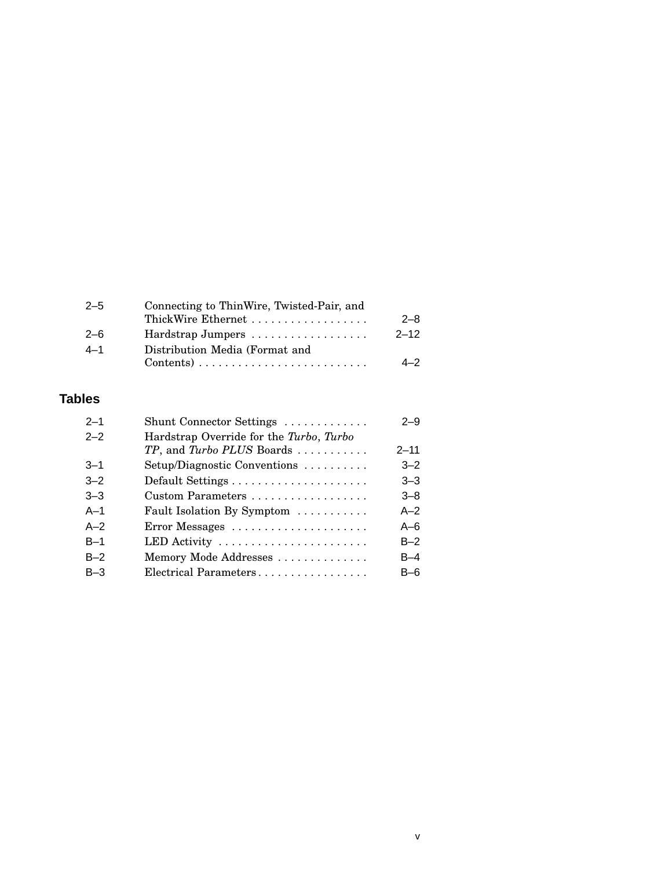| $2 - 5$ | Connecting to ThinWire, Twisted-Pair, and                           |          |  |
|---------|---------------------------------------------------------------------|----------|--|
|         | ThickWire Ethernet                                                  | $2 - 8$  |  |
| $2 - 6$ | Hardstrap Jumpers                                                   | $2 - 12$ |  |
| $4 - 1$ | Distribution Media (Format and                                      |          |  |
|         | $Contents) \ldots \ldots \ldots \ldots \ldots \ldots \ldots \ldots$ | $4 - 2$  |  |
|         |                                                                     |          |  |

#### **Tables**

| $2 - 1$ | Shunt Connector Settings                | $2 - 9$  |
|---------|-----------------------------------------|----------|
| $2 - 2$ | Hardstrap Override for the Turbo, Turbo |          |
|         | TP, and Turbo PLUS Boards               | $2 - 11$ |
| $3 - 1$ | Setup/Diagnostic Conventions            | $3 - 2$  |
| $3 - 2$ |                                         | $3 - 3$  |
| $3 - 3$ | Custom Parameters                       | $3 - 8$  |
| $A-1$   | Fault Isolation By Symptom              | $A-2$    |
| $A-2$   | Error Messages                          | $A-6$    |
| $B-1$   | LED Activity                            | $B-2$    |
| $B-2$   | Memory Mode Addresses                   | $B-4$    |
| $B-3$   | Electrical Parameters                   | B–6      |
|         |                                         |          |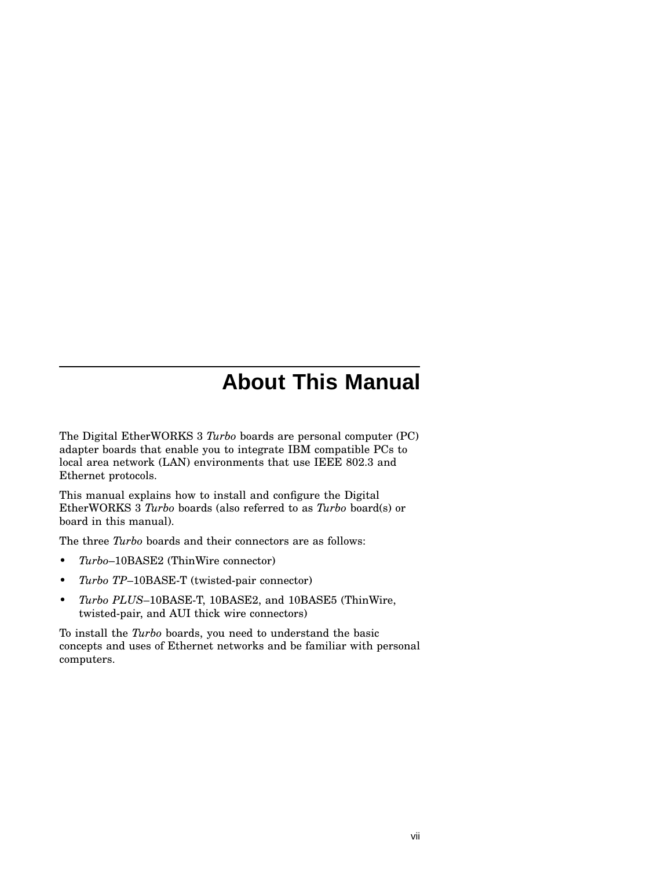# **About This Manual**

The Digital EtherWORKS 3 *Turbo* boards are personal computer (PC) adapter boards that enable you to integrate IBM compatible PCs to local area network (LAN) environments that use IEEE 802.3 and Ethernet protocols.

This manual explains how to install and configure the Digital EtherWORKS 3 *Turbo* boards (also referred to as *Turbo* board(s) or board in this manual).

The three *Turbo* boards and their connectors are as follows:

- *Turbo*–10BASE2 (ThinWire connector)
- *Turbo TP*–10BASE-T (twisted-pair connector)
- *Turbo PLUS*–10BASE-T, 10BASE2, and 10BASE5 (ThinWire, twisted-pair, and AUI thick wire connectors)

To install the *Turbo* boards, you need to understand the basic concepts and uses of Ethernet networks and be familiar with personal computers.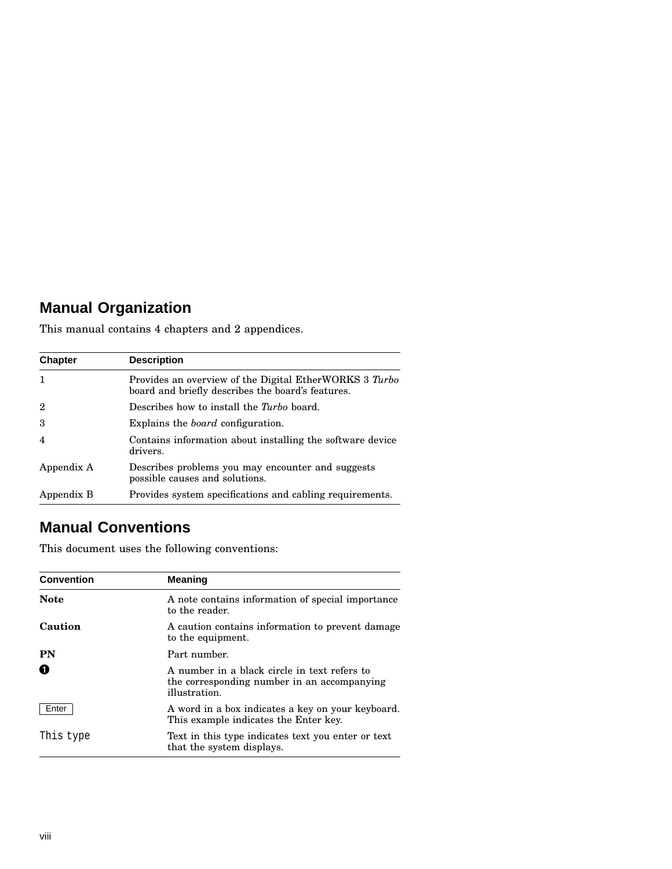## **Manual Organization**

This manual contains 4 chapters and 2 appendices.

| <b>Chapter</b> | <b>Description</b>                                                                                          |
|----------------|-------------------------------------------------------------------------------------------------------------|
|                | Provides an overview of the Digital EtherWORKS 3 Turbo<br>board and briefly describes the board's features. |
| $\overline{2}$ | Describes how to install the <i>Turbo</i> board.                                                            |
| 3              | Explains the <i>board</i> configuration.                                                                    |
| $\overline{4}$ | Contains information about installing the software device<br>drivers.                                       |
| Appendix A     | Describes problems you may encounter and suggests<br>possible causes and solutions.                         |
| Appendix B     | Provides system specifications and cabling requirements.                                                    |

## **Manual Conventions**

This document uses the following conventions:

| <b>Convention</b> | <b>Meaning</b>                                                                                               |  |
|-------------------|--------------------------------------------------------------------------------------------------------------|--|
| <b>Note</b>       | A note contains information of special importance<br>to the reader.                                          |  |
| Caution           | A caution contains information to prevent damage<br>to the equipment.                                        |  |
| <b>PN</b>         | Part number.                                                                                                 |  |
| O                 | A number in a black circle in text refers to<br>the corresponding number in an accompanying<br>illustration. |  |
| Enter             | A word in a box indicates a key on your keyboard.<br>This example indicates the Enter key.                   |  |
| This type         | Text in this type indicates text you enter or text<br>that the system displays.                              |  |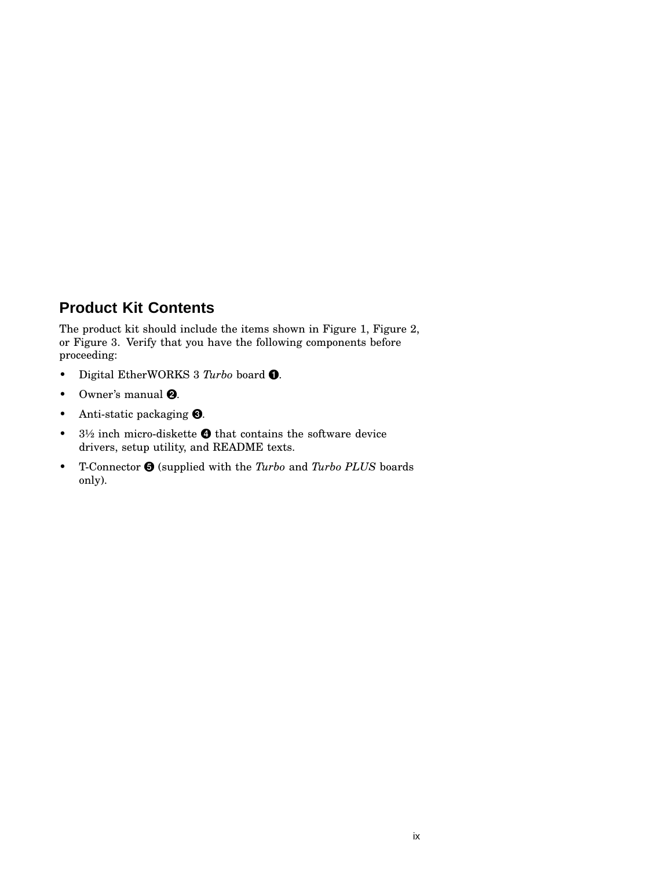## **Product Kit Contents**

The product kit should include the items shown in Figure 1, Figure 2, or Figure 3. Verify that you have the following components before proceeding:

- Digital EtherWORKS 3 *Turbo* board .
- Owner's manual  $\mathbf{\Theta}$ .
- Anti-static packaging  $\bullet$ .
- $3\frac{1}{2}$  inch micro-diskette  $\bullet$  that contains the software device drivers, setup utility, and README texts.
- T-Connector  $\bigcirc$  (supplied with the *Turbo* and *Turbo PLUS* boards only).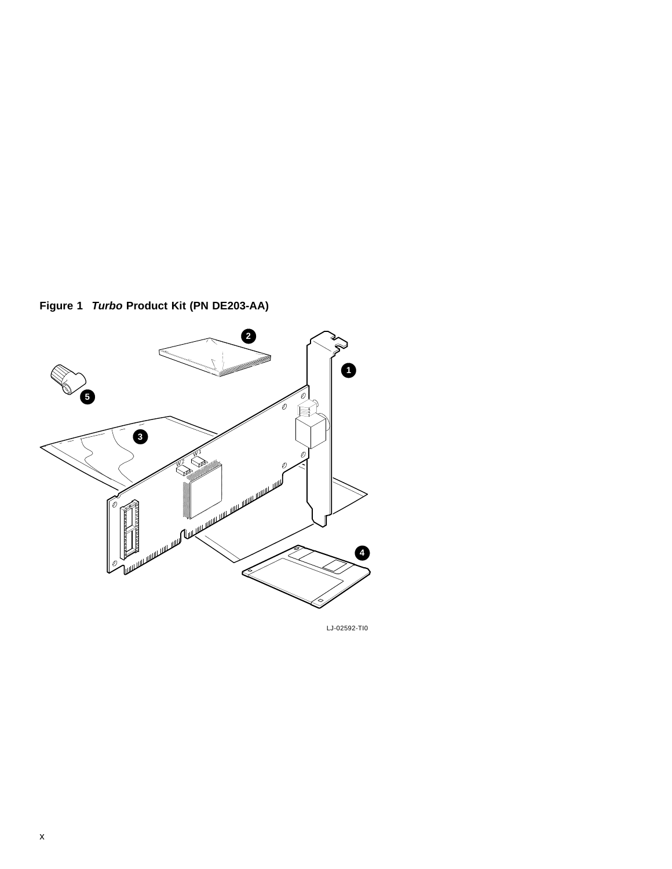



LJ-02592-TI0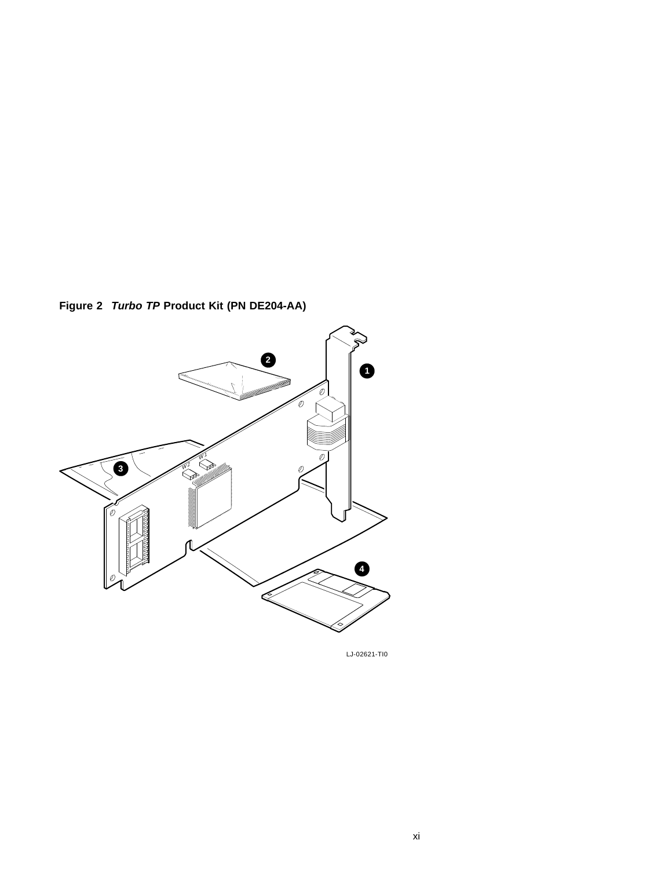**Figure 2 Turbo TP Product Kit (PN DE204-AA)**



LJ-02621-TI0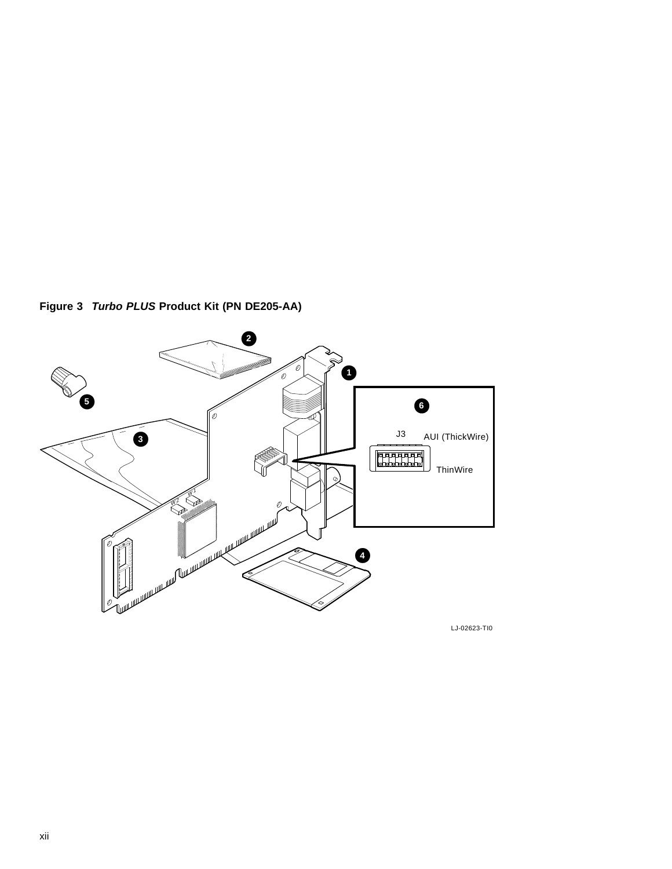

**Figure 3 Turbo PLUS Product Kit (PN DE205-AA)**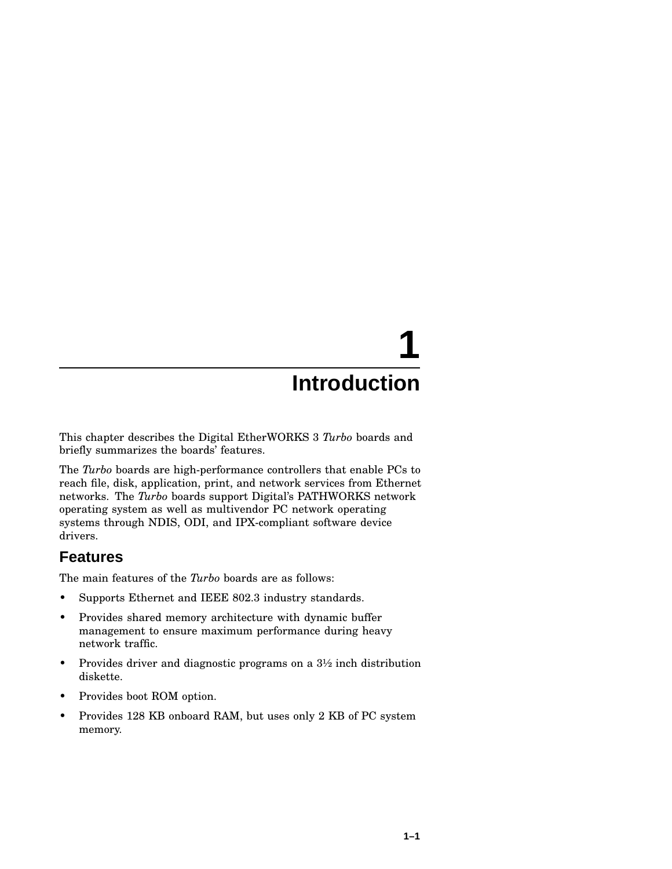# **1**

## **Introduction**

This chapter describes the Digital EtherWORKS 3 *Turbo* boards and briefly summarizes the boards' features.

The *Turbo* boards are high-performance controllers that enable PCs to reach file, disk, application, print, and network services from Ethernet networks. The *Turbo* boards support Digital's PATHWORKS network operating system as well as multivendor PC network operating systems through NDIS, ODI, and IPX-compliant software device drivers.

#### **Features**

The main features of the *Turbo* boards are as follows:

- Supports Ethernet and IEEE 802.3 industry standards.
- Provides shared memory architecture with dynamic buffer management to ensure maximum performance during heavy network traffic.
- Provides driver and diagnostic programs on a  $3\frac{1}{2}$  inch distribution diskette.
- Provides boot ROM option.
- Provides 128 KB onboard RAM, but uses only 2 KB of PC system memory.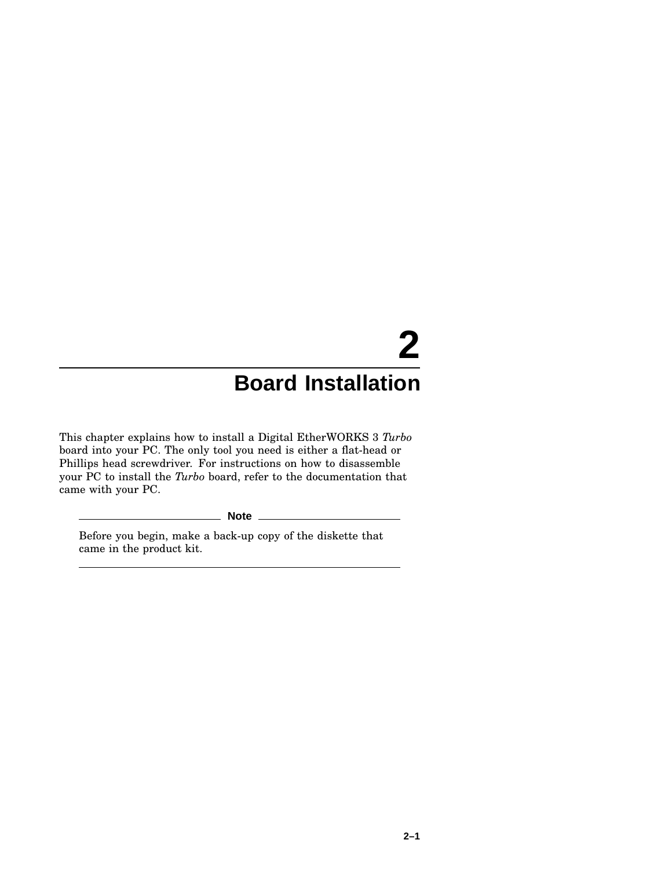# **2 Board Installation**

This chapter explains how to install a Digital EtherWORKS 3 *Turbo* board into your PC. The only tool you need is either a flat-head or Phillips head screwdriver. For instructions on how to disassemble your PC to install the *Turbo* board, refer to the documentation that came with your PC.

**Note**

Before you begin, make a back-up copy of the diskette that came in the product kit.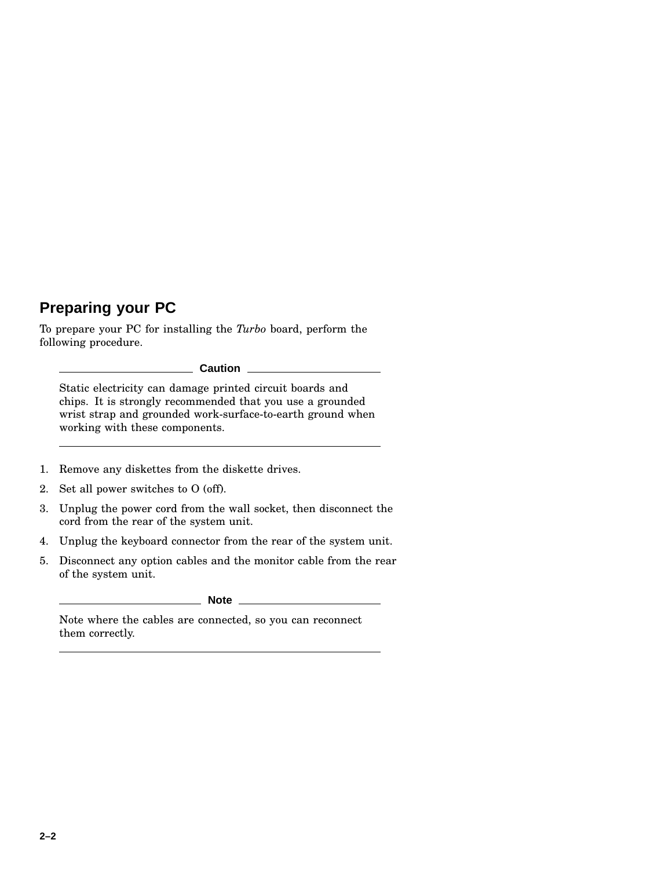## **Preparing your PC**

To prepare your PC for installing the *Turbo* board, perform the following procedure.

**Caution**

Static electricity can damage printed circuit boards and chips. It is strongly recommended that you use a grounded wrist strap and grounded work-surface-to-earth ground when working with these components.

- 1. Remove any diskettes from the diskette drives.
- 2. Set all power switches to O (off).
- 3. Unplug the power cord from the wall socket, then disconnect the cord from the rear of the system unit.
- 4. Unplug the keyboard connector from the rear of the system unit.
- 5. Disconnect any option cables and the monitor cable from the rear of the system unit.

**Note**

Note where the cables are connected, so you can reconnect them correctly.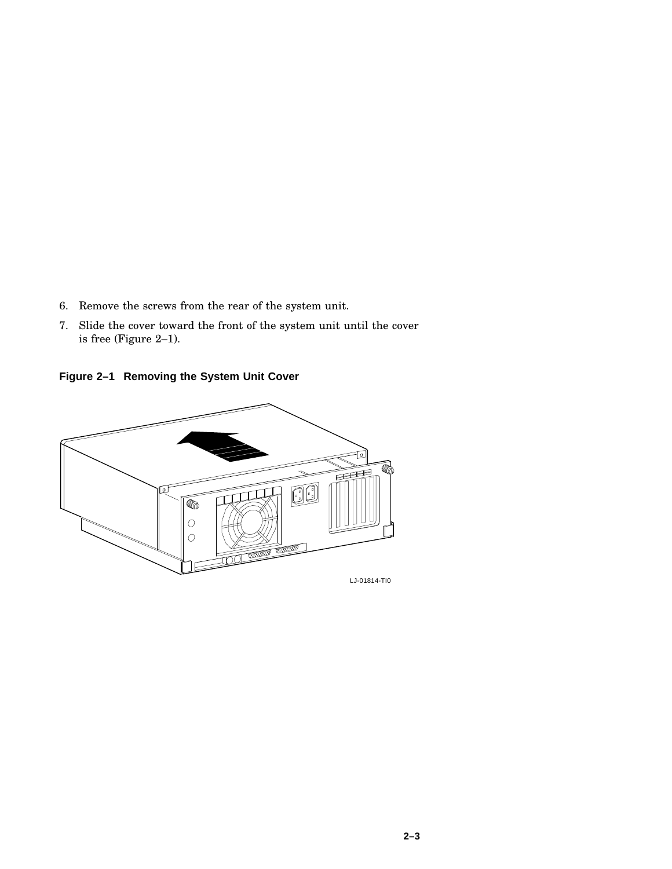- 6. Remove the screws from the rear of the system unit.
- 7. Slide the cover toward the front of the system unit until the cover is free (Figure 2–1).

**Figure 2–1 Removing the System Unit Cover**

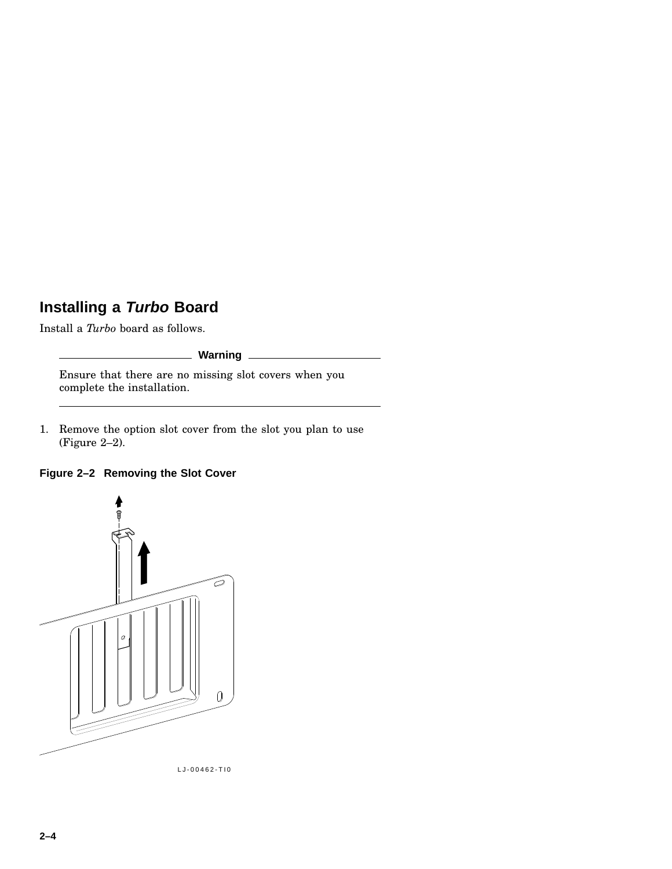## **Installing a Turbo Board**

Install a *Turbo* board as follows.

#### **Warning**

Ensure that there are no missing slot covers when you complete the installation.

1. Remove the option slot cover from the slot you plan to use (Figure 2–2).

#### **Figure 2–2 Removing the Slot Cover**



LJ-00462-TI0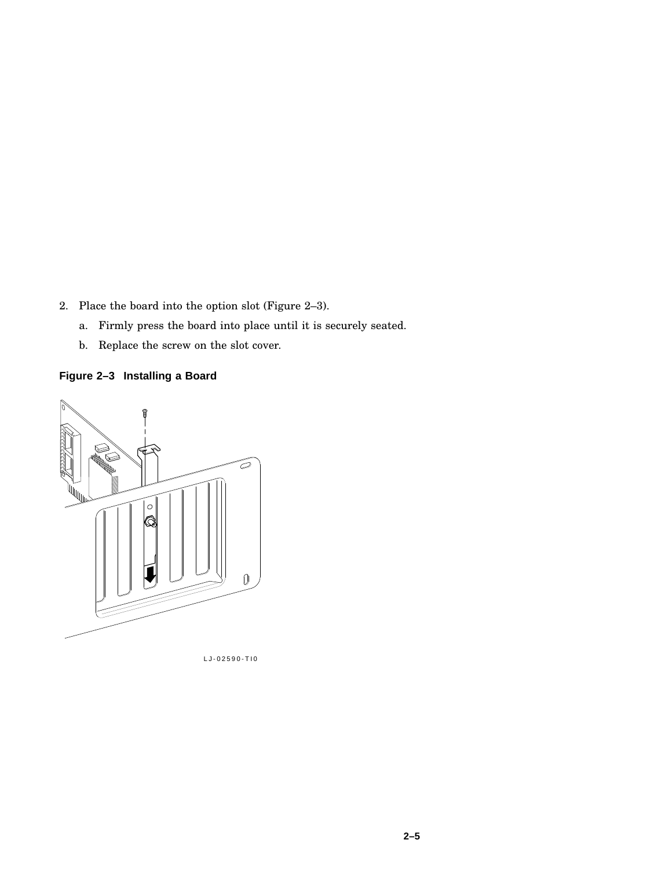2. Place the board into the option slot (Figure 2–3).

- a. Firmly press the board into place until it is securely seated.
- b. Replace the screw on the slot cover.

**Figure 2–3 Installing a Board**



LJ-02590-TI0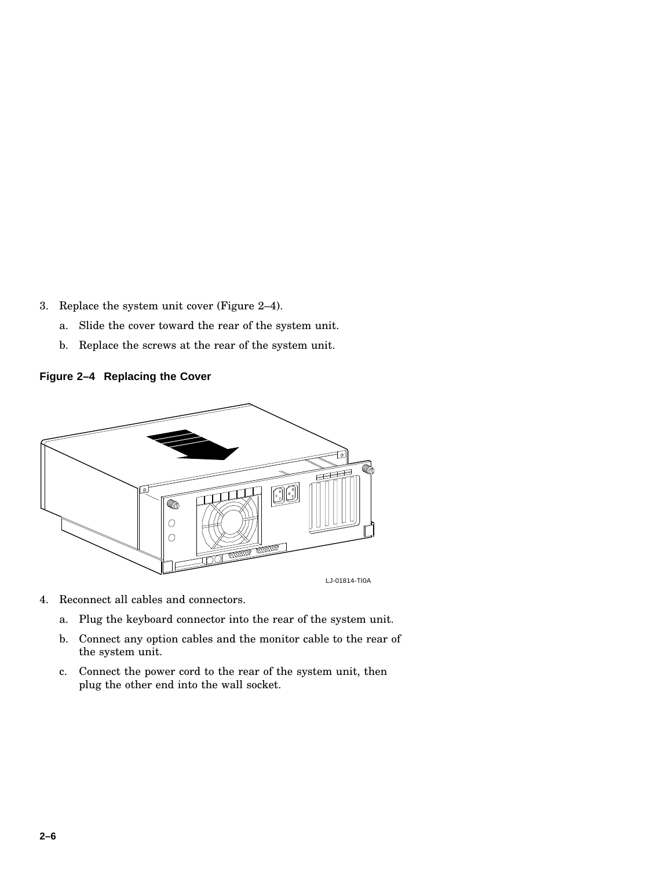3. Replace the system unit cover (Figure 2–4).

- a. Slide the cover toward the rear of the system unit.
- b. Replace the screws at the rear of the system unit.

#### **Figure 2–4 Replacing the Cover**



- 4. Reconnect all cables and connectors.
	- a. Plug the keyboard connector into the rear of the system unit.
	- b. Connect any option cables and the monitor cable to the rear of the system unit.
	- c. Connect the power cord to the rear of the system unit, then plug the other end into the wall socket.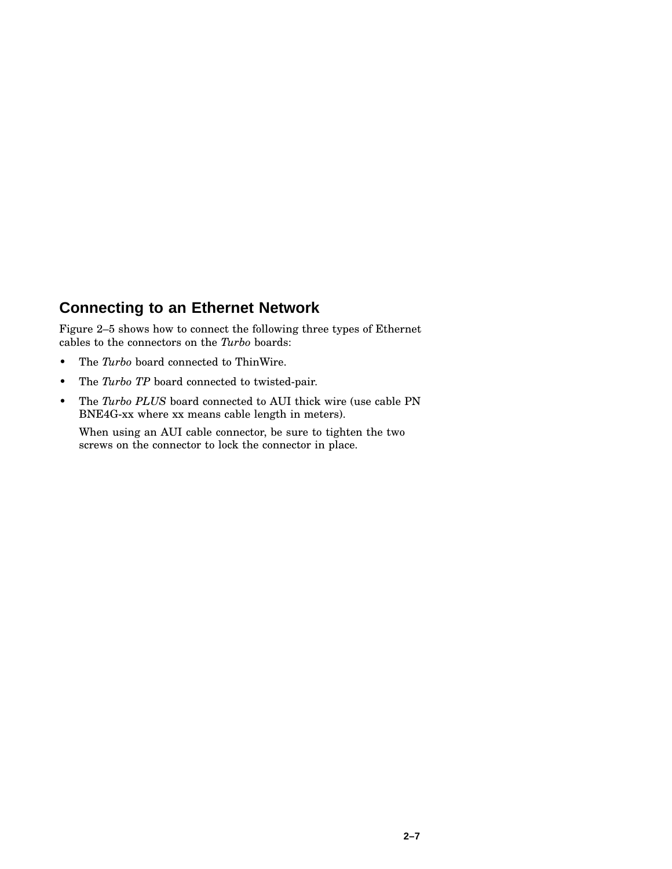#### **Connecting to an Ethernet Network**

Figure 2–5 shows how to connect the following three types of Ethernet cables to the connectors on the *Turbo* boards:

- The *Turbo* board connected to ThinWire.
- The *Turbo TP* board connected to twisted-pair.
- The *Turbo PLUS* board connected to AUI thick wire (use cable PN BNE4G-xx where xx means cable length in meters).

When using an AUI cable connector, be sure to tighten the two screws on the connector to lock the connector in place.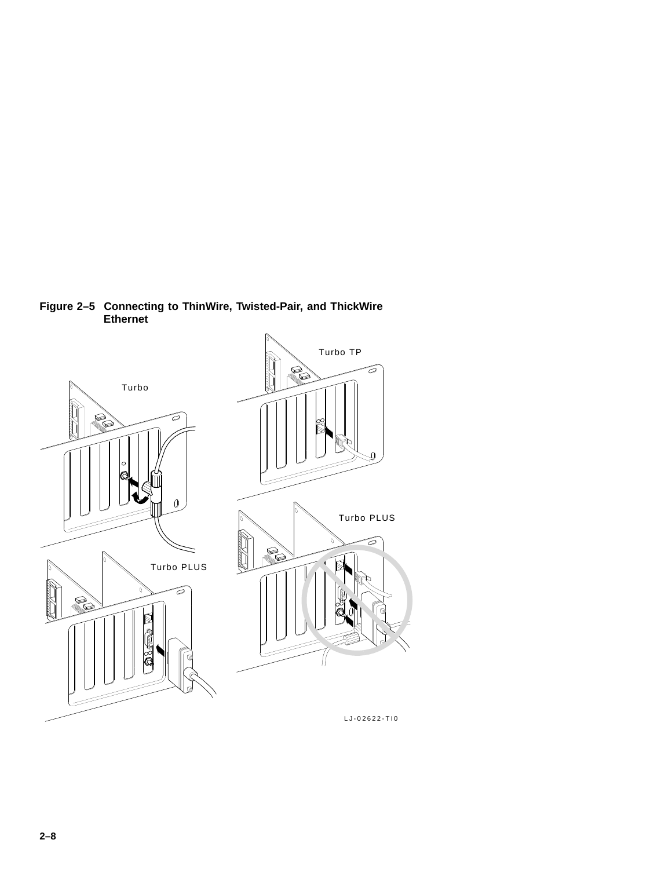

**Figure 2–5 Connecting to ThinWire, Twisted-Pair, and ThickWire Ethernet**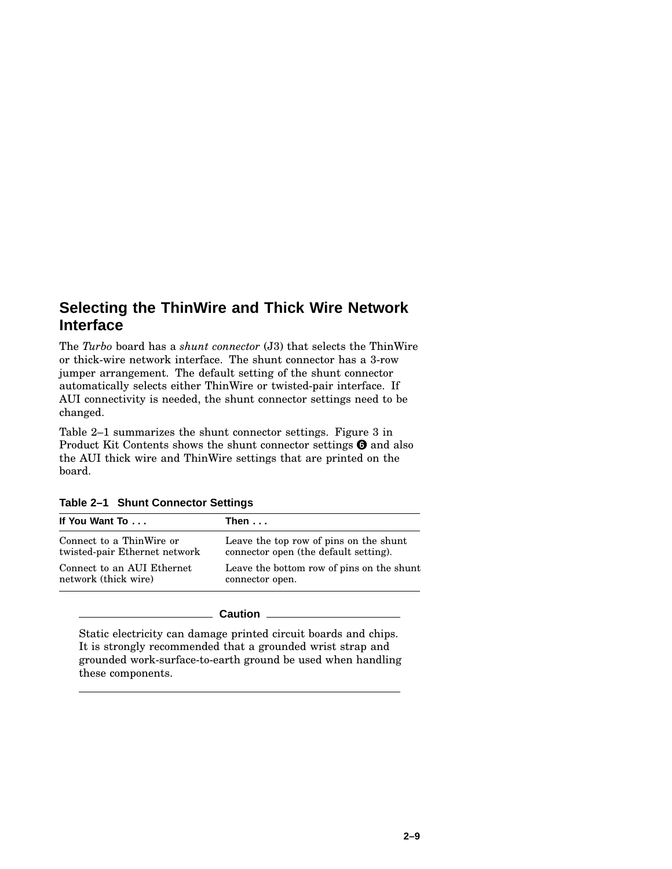#### **Selecting the ThinWire and Thick Wire Network Interface**

The *Turbo* board has a *shunt connector* (J3) that selects the ThinWire or thick-wire network interface. The shunt connector has a 3-row jumper arrangement. The default setting of the shunt connector automatically selects either ThinWire or twisted-pair interface. If AUI connectivity is needed, the shunt connector settings need to be changed.

Table 2–1 summarizes the shunt connector settings. Figure 3 in Product Kit Contents shows the shunt connector settings  $\Theta$  and also the AUI thick wire and ThinWire settings that are printed on the board.

| If You Want To                | Then $\dots$                              |  |
|-------------------------------|-------------------------------------------|--|
| Connect to a ThinWire or      | Leave the top row of pins on the shunt    |  |
| twisted-pair Ethernet network | connector open (the default setting).     |  |
| Connect to an AUI Ethernet    | Leave the bottom row of pins on the shunt |  |
| network (thick wire)          | connector open.                           |  |

|  |  | Table 2-1 Shunt Connector Settings |  |
|--|--|------------------------------------|--|
|--|--|------------------------------------|--|

#### **Caution**

Static electricity can damage printed circuit boards and chips. It is strongly recommended that a grounded wrist strap and grounded work-surface-to-earth ground be used when handling these components.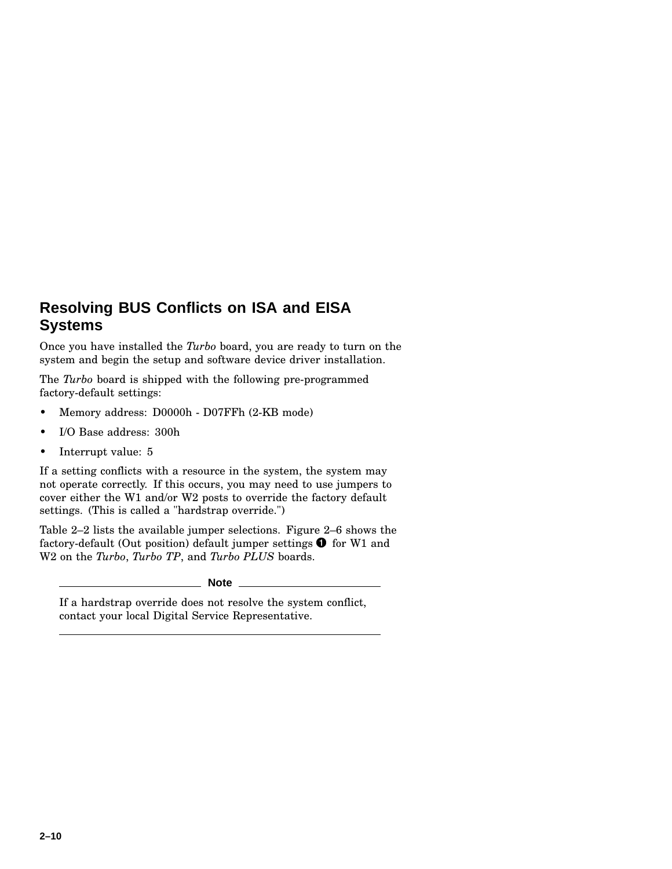### **Resolving BUS Conflicts on ISA and EISA Systems**

Once you have installed the *Turbo* board, you are ready to turn on the system and begin the setup and software device driver installation.

The *Turbo* board is shipped with the following pre-programmed factory-default settings:

- Memory address: D0000h D07FFh (2-KB mode)
- I/O Base address: 300h
- Interrupt value: 5

If a setting conflicts with a resource in the system, the system may not operate correctly. If this occurs, you may need to use jumpers to cover either the W1 and/or W2 posts to override the factory default settings. (This is called a "hardstrap override.")

Table 2–2 lists the available jumper selections. Figure 2–6 shows the factory-default (Out position) default jumper settings  $\bullet$  for W1 and W2 on the *Turbo*, *Turbo TP*, and *Turbo PLUS* boards.

**Note**

If a hardstrap override does not resolve the system conflict, contact your local Digital Service Representative.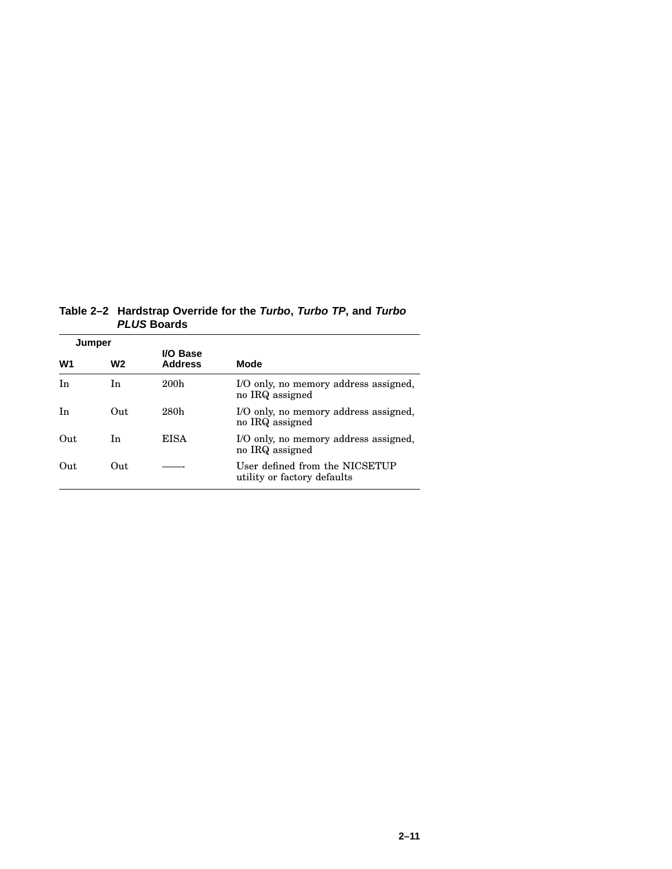**Table 2–2 Hardstrap Override for the Turbo, Turbo TP, and Turbo PLUS Boards**

| Jumper |     |                            |                                                               |  |
|--------|-----|----------------------------|---------------------------------------------------------------|--|
| W1     | W2  | I/O Base<br><b>Address</b> | Mode                                                          |  |
| In     | In  | 200 <sub>h</sub>           | I/O only, no memory address assigned,<br>no IRQ assigned      |  |
| In     | Out | 280h                       | I/O only, no memory address assigned,<br>no IRQ assigned      |  |
| Out    | In  | <b>EISA</b>                | I/O only, no memory address assigned,<br>no IRQ assigned      |  |
| Out    | Out |                            | User defined from the NICSETUP<br>utility or factory defaults |  |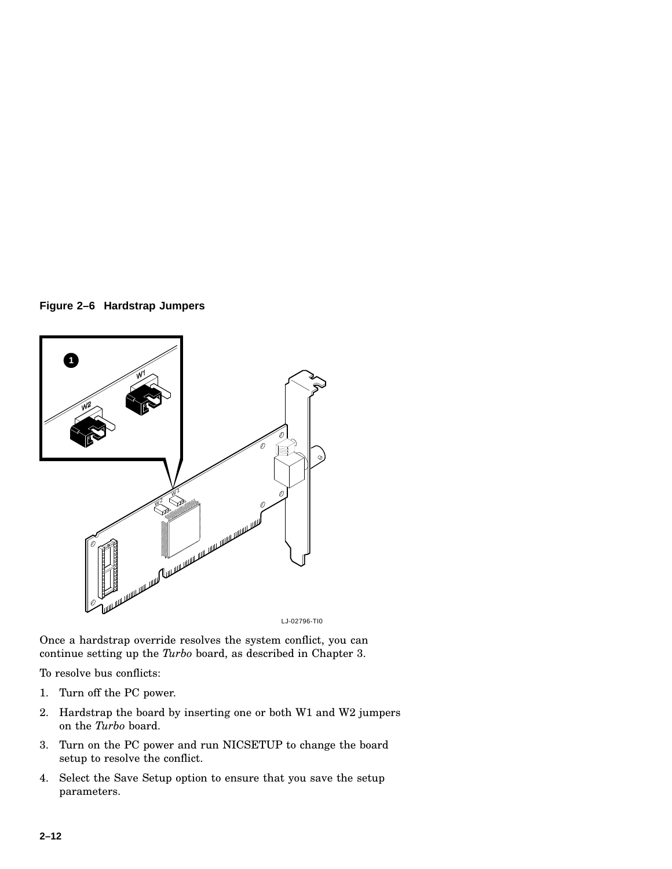**Figure 2–6 Hardstrap Jumpers**



LJ-02796-TI0

Once a hardstrap override resolves the system conflict, you can continue setting up the *Turbo* board, as described in Chapter 3.

To resolve bus conflicts:

- 1. Turn off the PC power.
- 2. Hardstrap the board by inserting one or both W1 and W2 jumpers on the *Turbo* board.
- 3. Turn on the PC power and run NICSETUP to change the board setup to resolve the conflict.
- 4. Select the Save Setup option to ensure that you save the setup parameters.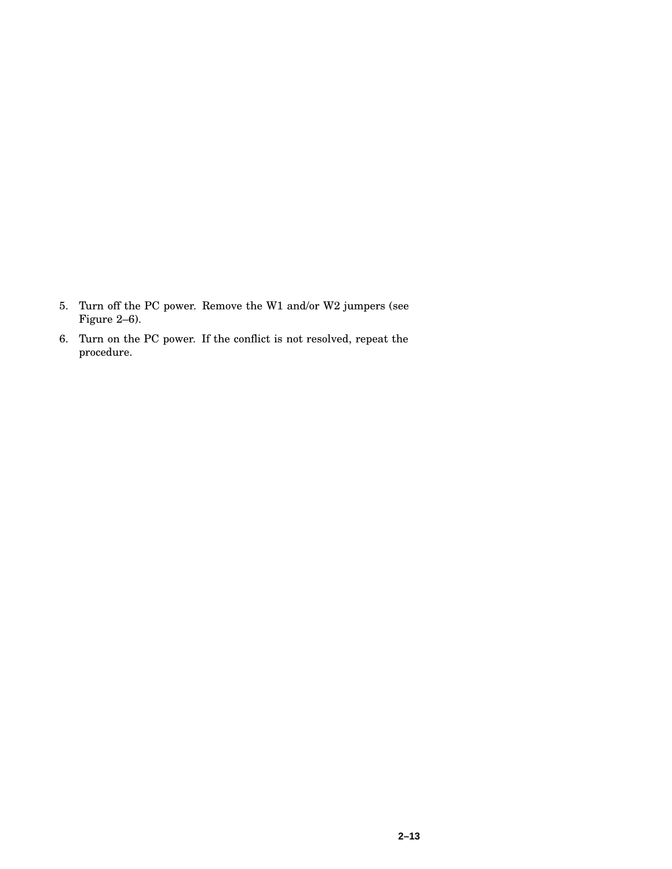- 5. Turn off the PC power. Remove the W1 and/or W2 jumpers (see Figure 2–6).
- 6. Turn on the PC power. If the conflict is not resolved, repeat the procedure.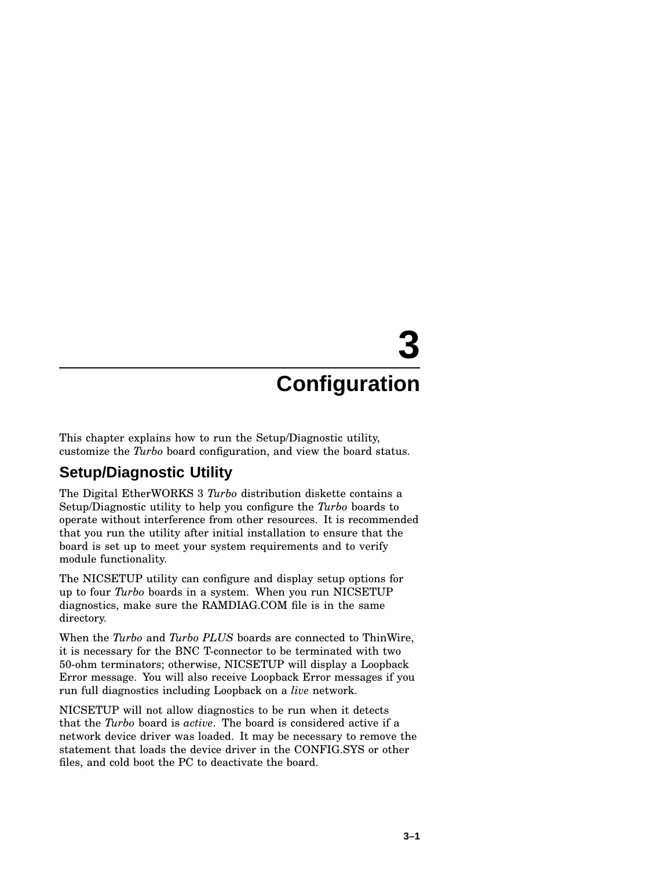# **3**

## **Configuration**

This chapter explains how to run the Setup/Diagnostic utility, customize the *Turbo* board configuration, and view the board status.

#### **Setup/Diagnostic Utility**

The Digital EtherWORKS 3 *Turbo* distribution diskette contains a Setup/Diagnostic utility to help you configure the *Turbo* boards to operate without interference from other resources. It is recommended that you run the utility after initial installation to ensure that the board is set up to meet your system requirements and to verify module functionality.

The NICSETUP utility can configure and display setup options for up to four *Turbo* boards in a system. When you run NICSETUP diagnostics, make sure the RAMDIAG.COM file is in the same directory.

When the *Turbo* and *Turbo PLUS* boards are connected to ThinWire, it is necessary for the BNC T-connector to be terminated with two 50-ohm terminators; otherwise, NICSETUP will display a Loopback Error message. You will also receive Loopback Error messages if you run full diagnostics including Loopback on a *live* network.

NICSETUP will not allow diagnostics to be run when it detects that the *Turbo* board is *active*. The board is considered active if a network device driver was loaded. It may be necessary to remove the statement that loads the device driver in the CONFIG.SYS or other files, and cold boot the PC to deactivate the board.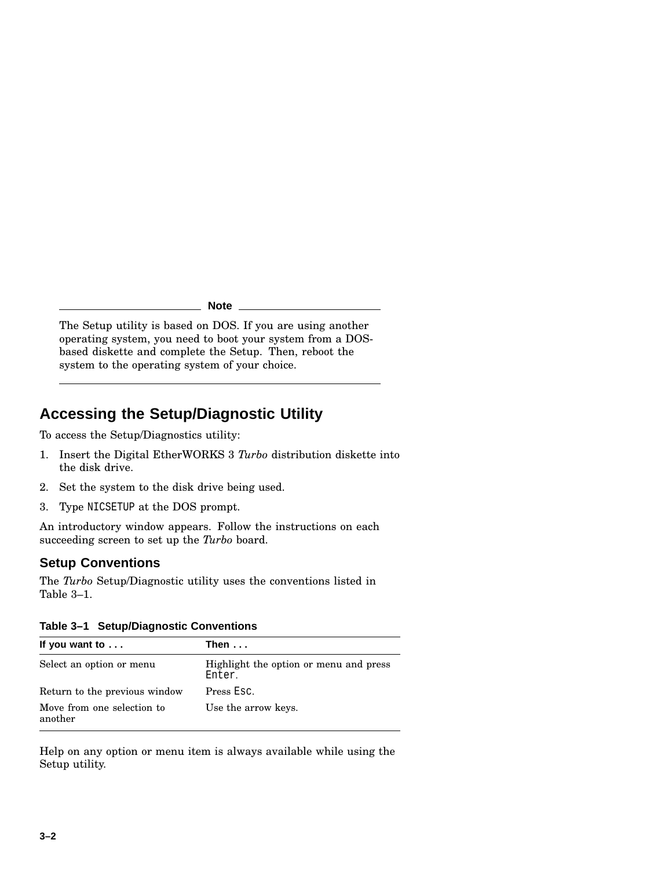**Note**

The Setup utility is based on DOS. If you are using another operating system, you need to boot your system from a DOSbased diskette and complete the Setup. Then, reboot the system to the operating system of your choice.

## **Accessing the Setup/Diagnostic Utility**

To access the Setup/Diagnostics utility:

- 1. Insert the Digital EtherWORKS 3 *Turbo* distribution diskette into the disk drive.
- 2. Set the system to the disk drive being used.
- 3. Type NICSETUP at the DOS prompt.

An introductory window appears. Follow the instructions on each succeeding screen to set up the *Turbo* board.

#### **Setup Conventions**

The *Turbo* Setup/Diagnostic utility uses the conventions listed in Table 3–1.

|  | Table 3-1 Setup/Diagnostic Conventions |  |
|--|----------------------------------------|--|
|--|----------------------------------------|--|

| If you want to $\ldots$               | Then $\dots$                                     |
|---------------------------------------|--------------------------------------------------|
| Select an option or menu              | Highlight the option or menu and press<br>Enter. |
| Return to the previous window         | Press Esc.                                       |
| Move from one selection to<br>another | Use the arrow keys.                              |

Help on any option or menu item is always available while using the Setup utility.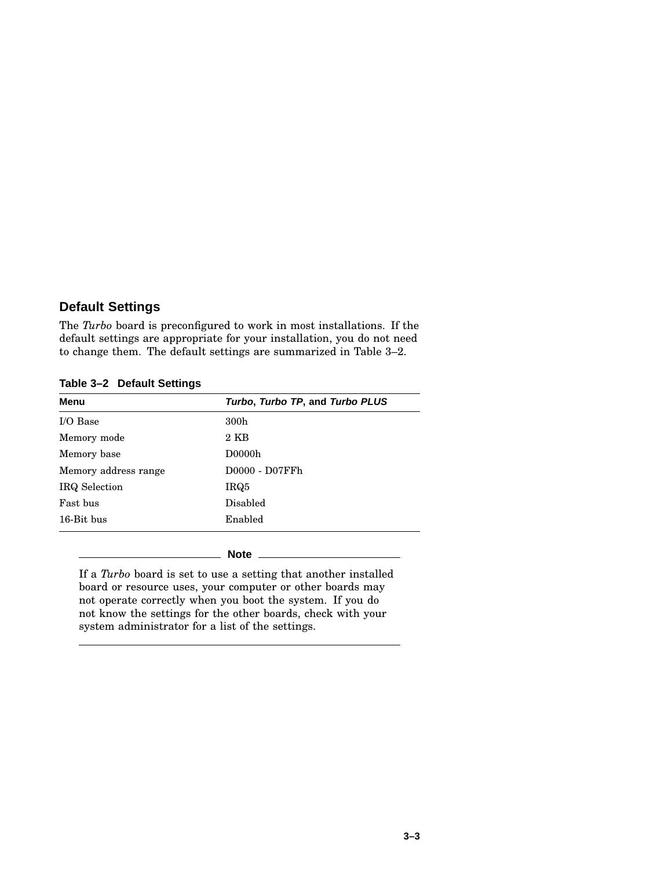#### **Default Settings**

The *Turbo* board is preconfigured to work in most installations. If the default settings are appropriate for your installation, you do not need to change them. The default settings are summarized in Table 3–2.

**Table 3–2 Default Settings**

| Turbo, Turbo TP, and Turbo PLUS |
|---------------------------------|
| 300 <sub>h</sub>                |
| $2$ KB                          |
| D0000h                          |
| D0000 - D07FFh                  |
| IRQ5                            |
| Disabled                        |
| Enabled                         |
|                                 |

**Note**

If a *Turbo* board is set to use a setting that another installed board or resource uses, your computer or other boards may not operate correctly when you boot the system. If you do not know the settings for the other boards, check with your system administrator for a list of the settings.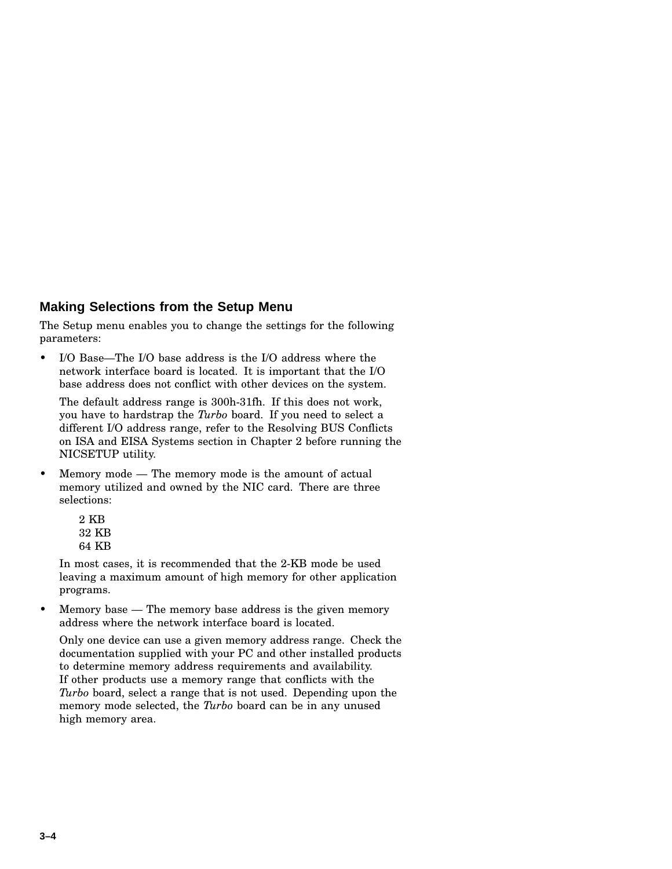#### **Making Selections from the Setup Menu**

The Setup menu enables you to change the settings for the following parameters:

• I/O Base—The I/O base address is the I/O address where the network interface board is located. It is important that the I/O base address does not conflict with other devices on the system.

The default address range is 300h-31fh. If this does not work, you have to hardstrap the *Turbo* board. If you need to select a different I/O address range, refer to the Resolving BUS Conflicts on ISA and EISA Systems section in Chapter 2 before running the NICSETUP utility.

• Memory mode — The memory mode is the amount of actual memory utilized and owned by the NIC card. There are three selections:

| $2~\mathrm{KB}$ |       |
|-----------------|-------|
|                 | 32 KB |
|                 | 64 KB |

In most cases, it is recommended that the 2-KB mode be used leaving a maximum amount of high memory for other application programs.

• Memory base — The memory base address is the given memory address where the network interface board is located.

Only one device can use a given memory address range. Check the documentation supplied with your PC and other installed products to determine memory address requirements and availability. If other products use a memory range that conflicts with the *Turbo* board, select a range that is not used. Depending upon the memory mode selected, the *Turbo* board can be in any unused high memory area.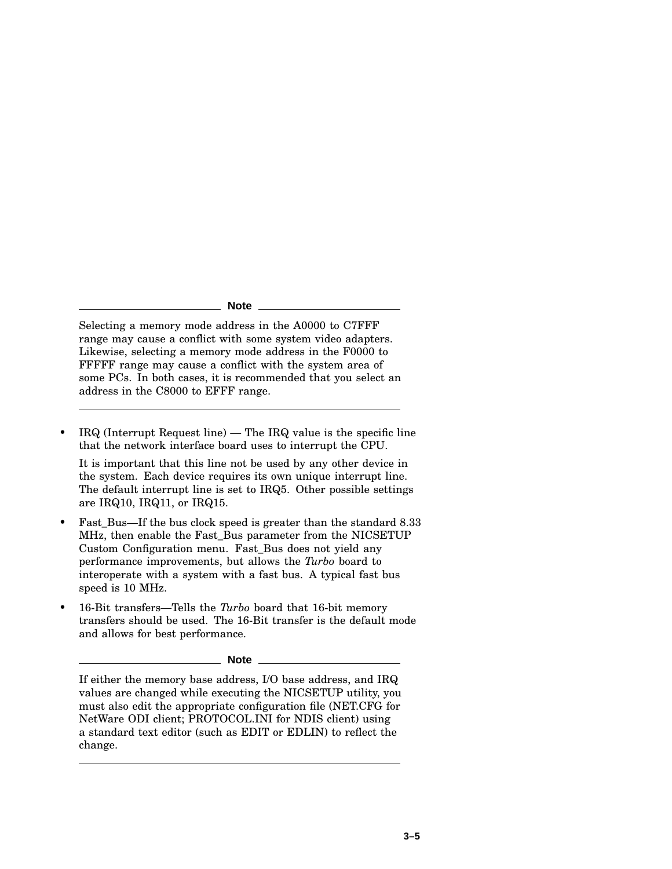#### **Note**

Selecting a memory mode address in the A0000 to C7FFF range may cause a conflict with some system video adapters. Likewise, selecting a memory mode address in the F0000 to FFFFF range may cause a conflict with the system area of some PCs. In both cases, it is recommended that you select an address in the C8000 to EFFF range.

 $IRQ$  (Interrupt Request line) — The IRQ value is the specific line that the network interface board uses to interrupt the CPU.

It is important that this line not be used by any other device in the system. Each device requires its own unique interrupt line. The default interrupt line is set to IRQ5. Other possible settings are IRQ10, IRQ11, or IRQ15.

- Fast\_Bus—If the bus clock speed is greater than the standard 8.33 MHz, then enable the Fast\_Bus parameter from the NICSETUP Custom Configuration menu. Fast\_Bus does not yield any performance improvements, but allows the *Turbo* board to interoperate with a system with a fast bus. A typical fast bus speed is 10 MHz.
- 16-Bit transfers—Tells the *Turbo* board that 16-bit memory transfers should be used. The 16-Bit transfer is the default mode and allows for best performance.

**Note**

If either the memory base address, I/O base address, and IRQ values are changed while executing the NICSETUP utility, you must also edit the appropriate configuration file (NET.CFG for NetWare ODI client; PROTOCOL.INI for NDIS client) using a standard text editor (such as EDIT or EDLIN) to reflect the change.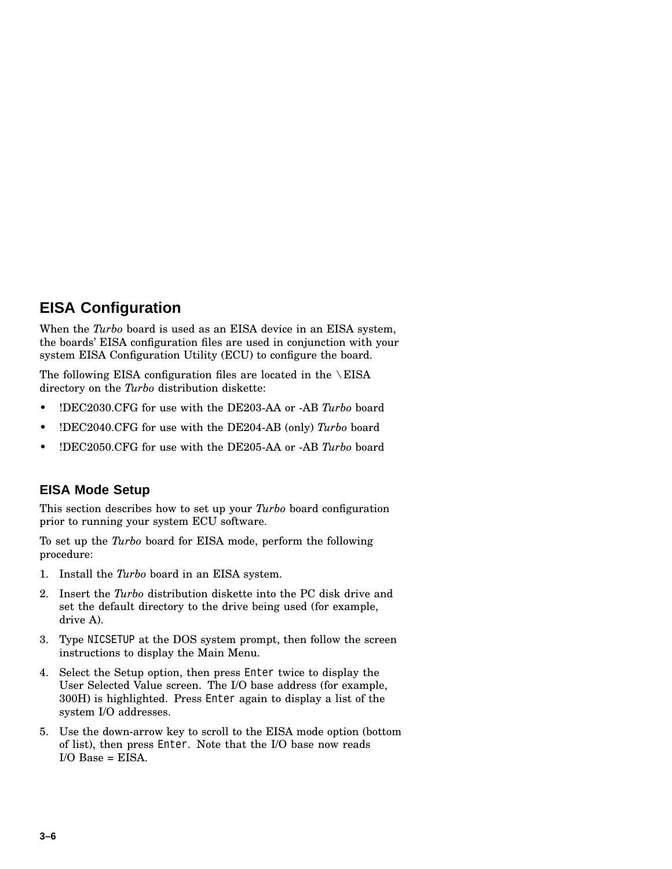## **EISA Configuration**

When the *Turbo* board is used as an EISA device in an EISA system, the boards' EISA configuration files are used in conjunction with your system EISA Configuration Utility (ECU) to configure the board.

The following EISA configuration files are located in the \EISA directory on the *Turbo* distribution diskette:

- !DEC2030.CFG for use with the DE203-AA or -AB *Turbo* board
- !DEC2040.CFG for use with the DE204-AB (only) *Turbo* board
- !DEC2050.CFG for use with the DE205-AA or -AB *Turbo* board

#### **EISA Mode Setup**

This section describes how to set up your *Turbo* board configuration prior to running your system ECU software.

To set up the *Turbo* board for EISA mode, perform the following procedure:

- 1. Install the *Turbo* board in an EISA system.
- 2. Insert the *Turbo* distribution diskette into the PC disk drive and set the default directory to the drive being used (for example, drive A).
- 3. Type NICSETUP at the DOS system prompt, then follow the screen instructions to display the Main Menu.
- 4. Select the Setup option, then press Enter twice to display the User Selected Value screen. The I/O base address (for example, 300H) is highlighted. Press Enter again to display a list of the system I/O addresses.
- 5. Use the down-arrow key to scroll to the EISA mode option (bottom of list), then press Enter. Note that the I/O base now reads  $I/O$  Base =  $EISA$ .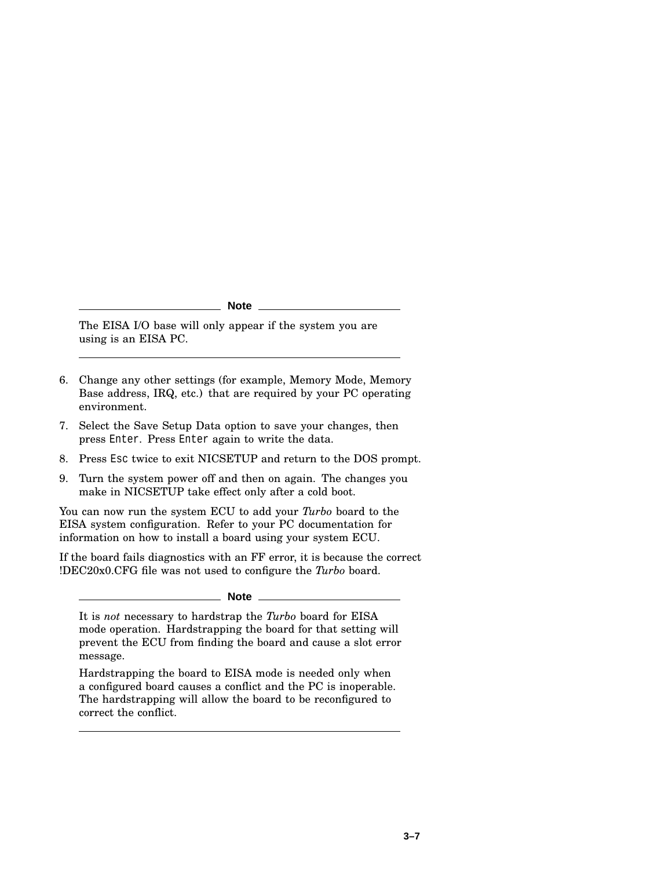**Note**

The EISA I/O base will only appear if the system you are using is an EISA PC.

- 6. Change any other settings (for example, Memory Mode, Memory Base address, IRQ, etc.) that are required by your PC operating environment.
- 7. Select the Save Setup Data option to save your changes, then press Enter. Press Enter again to write the data.
- 8. Press Esc twice to exit NICSETUP and return to the DOS prompt.
- 9. Turn the system power off and then on again. The changes you make in NICSETUP take effect only after a cold boot.

You can now run the system ECU to add your *Turbo* board to the EISA system configuration. Refer to your PC documentation for information on how to install a board using your system ECU.

If the board fails diagnostics with an FF error, it is because the correct !DEC20x0.CFG file was not used to configure the *Turbo* board.

**Note**

It is *not* necessary to hardstrap the *Turbo* board for EISA mode operation. Hardstrapping the board for that setting will prevent the ECU from finding the board and cause a slot error message.

Hardstrapping the board to EISA mode is needed only when a configured board causes a conflict and the PC is inoperable. The hardstrapping will allow the board to be reconfigured to correct the conflict.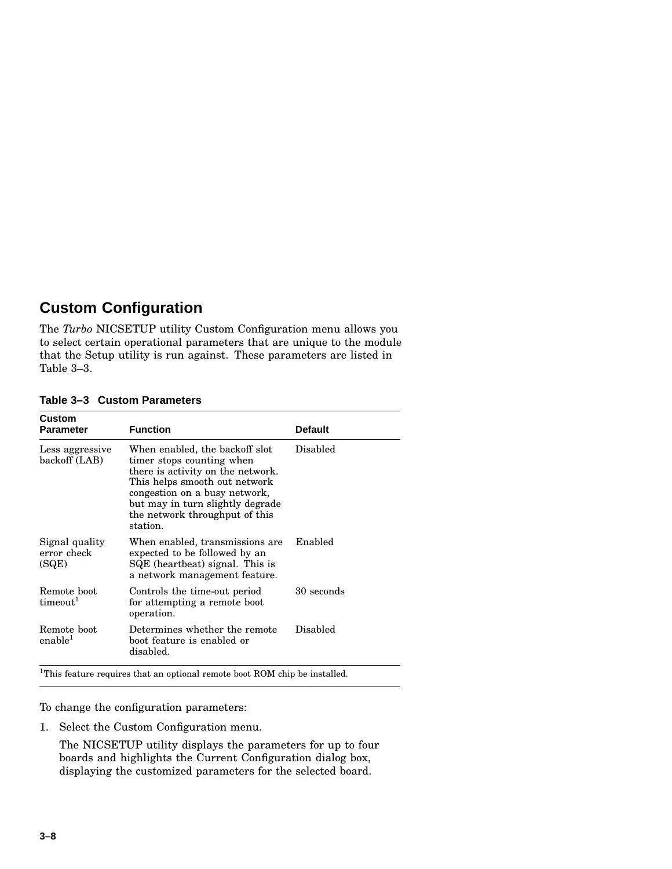### **Custom Configuration**

The *Turbo* NICSETUP utility Custom Configuration menu allows you to select certain operational parameters that are unique to the module that the Setup utility is run against. These parameters are listed in Table 3–3.

| Custom<br>Parameter                    | <b>Function</b>                                                                                                                                                                                                                                      | <b>Default</b> |
|----------------------------------------|------------------------------------------------------------------------------------------------------------------------------------------------------------------------------------------------------------------------------------------------------|----------------|
| Less aggressive<br>backoff (LAB)       | When enabled, the backoff slot<br>timer stops counting when<br>there is activity on the network.<br>This helps smooth out network<br>congestion on a busy network,<br>but may in turn slightly degrade<br>the network throughput of this<br>station. | Disabled       |
| Signal quality<br>error check<br>(SQE) | When enabled, transmissions are<br>expected to be followed by an<br>SQE (heartbeat) signal. This is<br>a network management feature.                                                                                                                 | Enabled        |
| Remote boot<br>timeout <sup>1</sup>    | Controls the time-out period<br>for attempting a remote boot<br>operation.                                                                                                                                                                           | 30 seconds     |
| Remote boot<br>enable <sup>1</sup>     | Determines whether the remote<br>boot feature is enabled or<br>disabled.                                                                                                                                                                             | Disabled       |

#### **Table 3–3 Custom Parameters**

<sup>1</sup>This feature requires that an optional remote boot ROM chip be installed.

To change the configuration parameters:

1. Select the Custom Configuration menu.

The NICSETUP utility displays the parameters for up to four boards and highlights the Current Configuration dialog box, displaying the customized parameters for the selected board.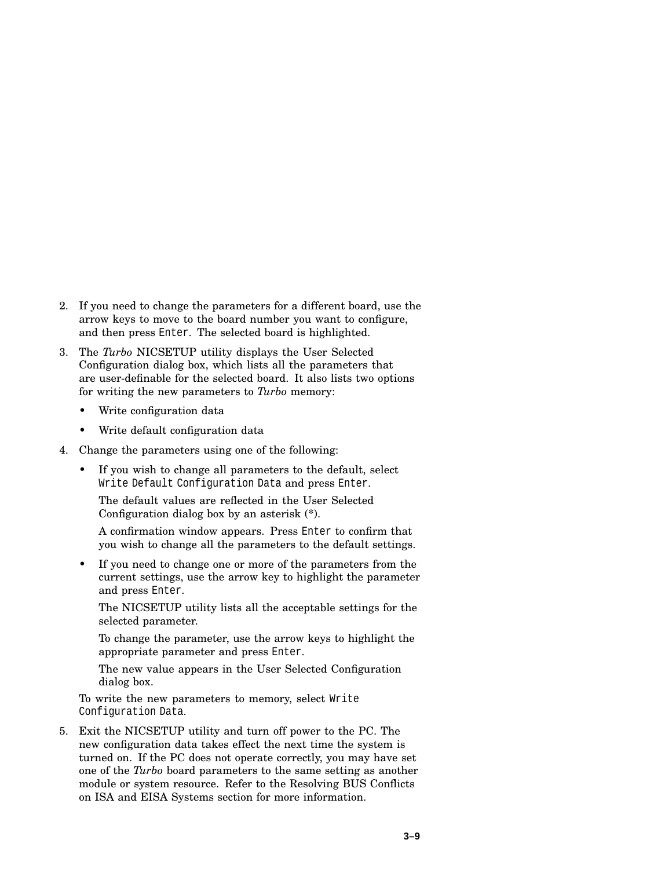- 2. If you need to change the parameters for a different board, use the arrow keys to move to the board number you want to configure, and then press Enter. The selected board is highlighted.
- 3. The *Turbo* NICSETUP utility displays the User Selected Configuration dialog box, which lists all the parameters that are user-definable for the selected board. It also lists two options for writing the new parameters to *Turbo* memory:
	- Write configuration data
	- Write default configuration data
- 4. Change the parameters using one of the following:
	- If you wish to change all parameters to the default, select Write Default Configuration Data and press Enter.

The default values are reflected in the User Selected Configuration dialog box by an asterisk (\*).

A confirmation window appears. Press Enter to confirm that you wish to change all the parameters to the default settings.

If you need to change one or more of the parameters from the current settings, use the arrow key to highlight the parameter and press Enter.

The NICSETUP utility lists all the acceptable settings for the selected parameter.

To change the parameter, use the arrow keys to highlight the appropriate parameter and press Enter.

The new value appears in the User Selected Configuration dialog box.

To write the new parameters to memory, select Write Configuration Data.

5. Exit the NICSETUP utility and turn off power to the PC. The new configuration data takes effect the next time the system is turned on. If the PC does not operate correctly, you may have set one of the *Turbo* board parameters to the same setting as another module or system resource. Refer to the Resolving BUS Conflicts on ISA and EISA Systems section for more information.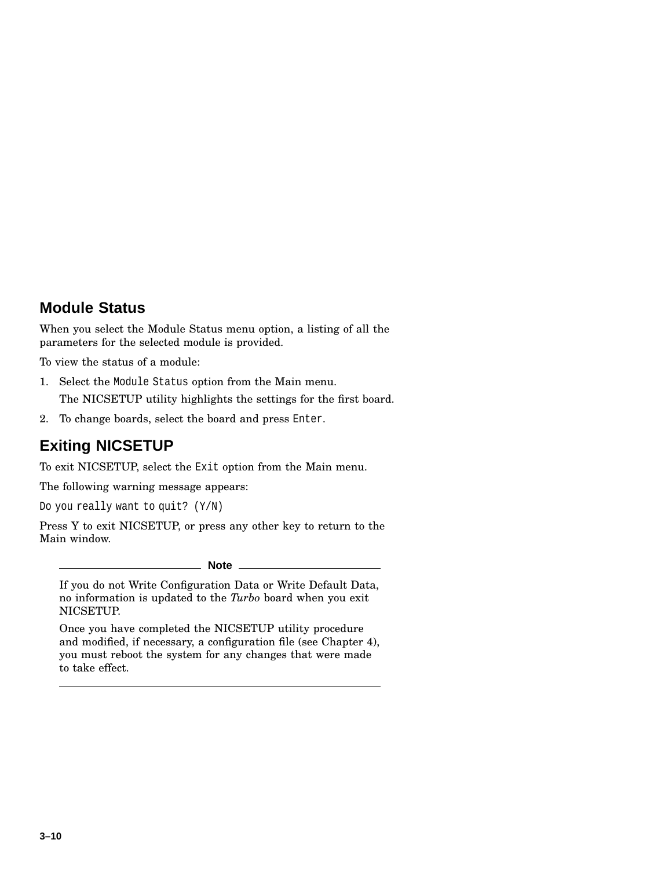#### **Module Status**

When you select the Module Status menu option, a listing of all the parameters for the selected module is provided.

To view the status of a module:

- 1. Select the Module Status option from the Main menu. The NICSETUP utility highlights the settings for the first board.
- 2. To change boards, select the board and press Enter.

## **Exiting NICSETUP**

To exit NICSETUP, select the Exit option from the Main menu.

The following warning message appears:

Do you really want to quit? (Y/N)

Press Y to exit NICSETUP, or press any other key to return to the Main window.

**Note**

If you do not Write Configuration Data or Write Default Data, no information is updated to the *Turbo* board when you exit NICSETUP.

Once you have completed the NICSETUP utility procedure and modified, if necessary, a configuration file (see Chapter 4), you must reboot the system for any changes that were made to take effect.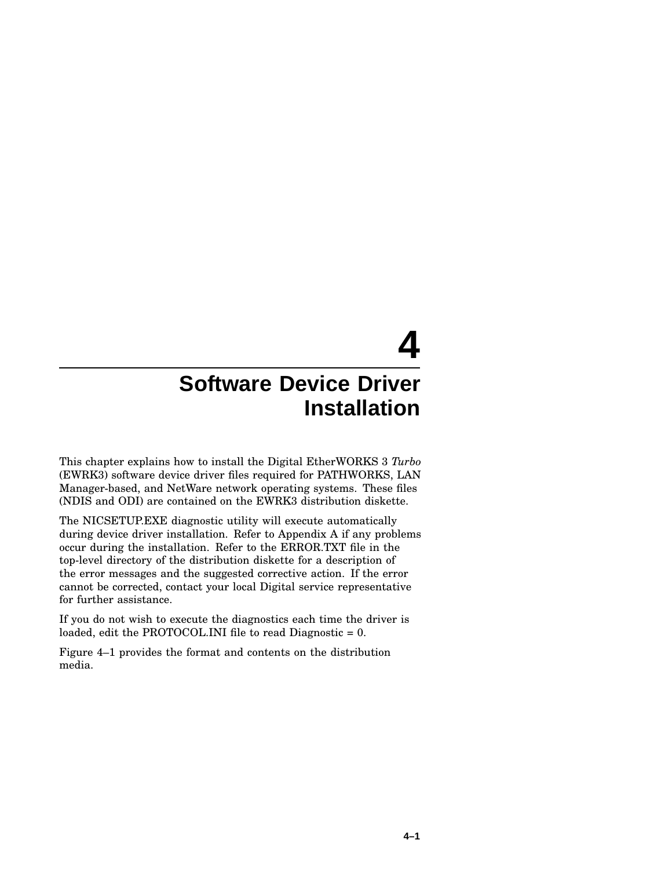# **4**

## **Software Device Driver Installation**

This chapter explains how to install the Digital EtherWORKS 3 *Turbo* (EWRK3) software device driver files required for PATHWORKS, LAN Manager-based, and NetWare network operating systems. These files (NDIS and ODI) are contained on the EWRK3 distribution diskette.

The NICSETUP.EXE diagnostic utility will execute automatically during device driver installation. Refer to Appendix A if any problems occur during the installation. Refer to the ERROR.TXT file in the top-level directory of the distribution diskette for a description of the error messages and the suggested corrective action. If the error cannot be corrected, contact your local Digital service representative for further assistance.

If you do not wish to execute the diagnostics each time the driver is loaded, edit the PROTOCOL.INI file to read Diagnostic = 0.

Figure 4–1 provides the format and contents on the distribution media.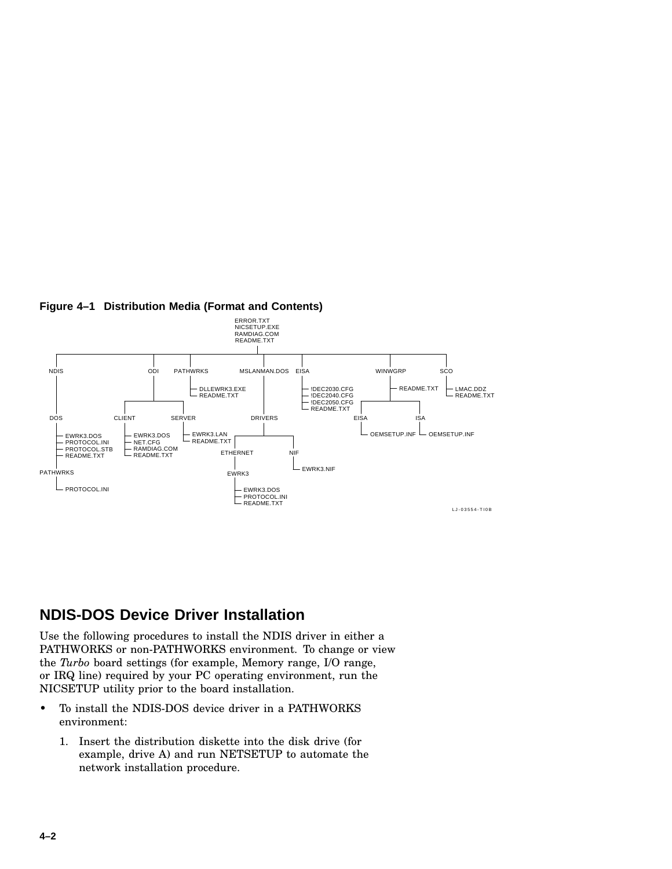

#### **Figure 4–1 Distribution Media (Format and Contents)**

#### **NDIS-DOS Device Driver Installation**

Use the following procedures to install the NDIS driver in either a PATHWORKS or non-PATHWORKS environment. To change or view the *Turbo* board settings (for example, Memory range, I/O range, or IRQ line) required by your PC operating environment, run the NICSETUP utility prior to the board installation.

- To install the NDIS-DOS device driver in a PATHWORKS environment:
	- 1. Insert the distribution diskette into the disk drive (for example, drive A) and run NETSETUP to automate the network installation procedure.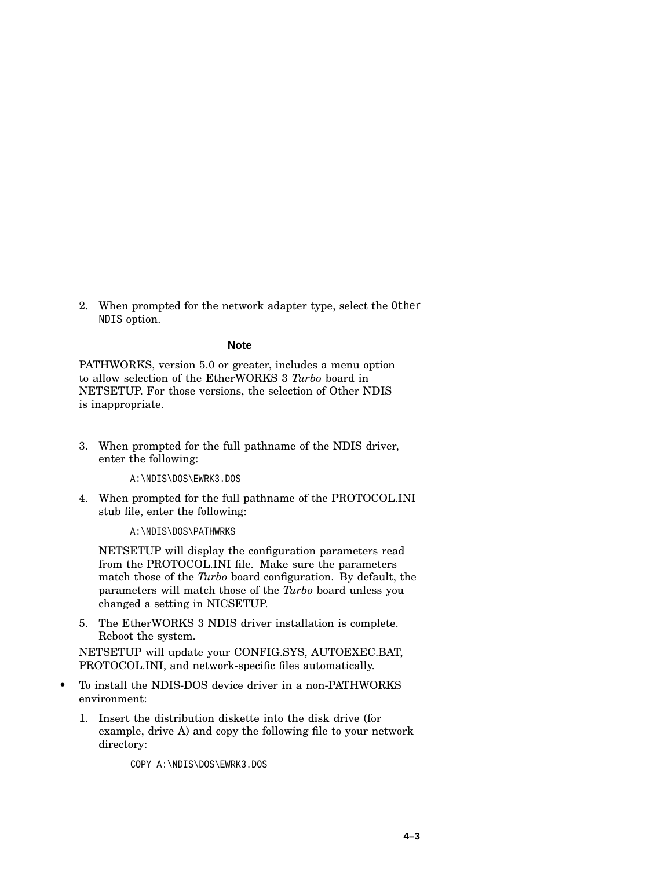2. When prompted for the network adapter type, select the Other NDIS option.

**Note**

PATHWORKS, version 5.0 or greater, includes a menu option to allow selection of the EtherWORKS 3 *Turbo* board in NETSETUP. For those versions, the selection of Other NDIS is inappropriate.

3. When prompted for the full pathname of the NDIS driver, enter the following:

A:\NDIS\DOS\EWRK3.DOS

4. When prompted for the full pathname of the PROTOCOL.INI stub file, enter the following:

A:\NDIS\DOS\PATHWRKS

NETSETUP will display the configuration parameters read from the PROTOCOL.INI file. Make sure the parameters match those of the *Turbo* board configuration. By default, the parameters will match those of the *Turbo* board unless you changed a setting in NICSETUP.

5. The EtherWORKS 3 NDIS driver installation is complete. Reboot the system.

NETSETUP will update your CONFIG.SYS, AUTOEXEC.BAT, PROTOCOL.INI, and network-specific files automatically.

- To install the NDIS-DOS device driver in a non-PATHWORKS environment:
	- 1. Insert the distribution diskette into the disk drive (for example, drive A) and copy the following file to your network directory:

COPY A:\NDIS\DOS\EWRK3.DOS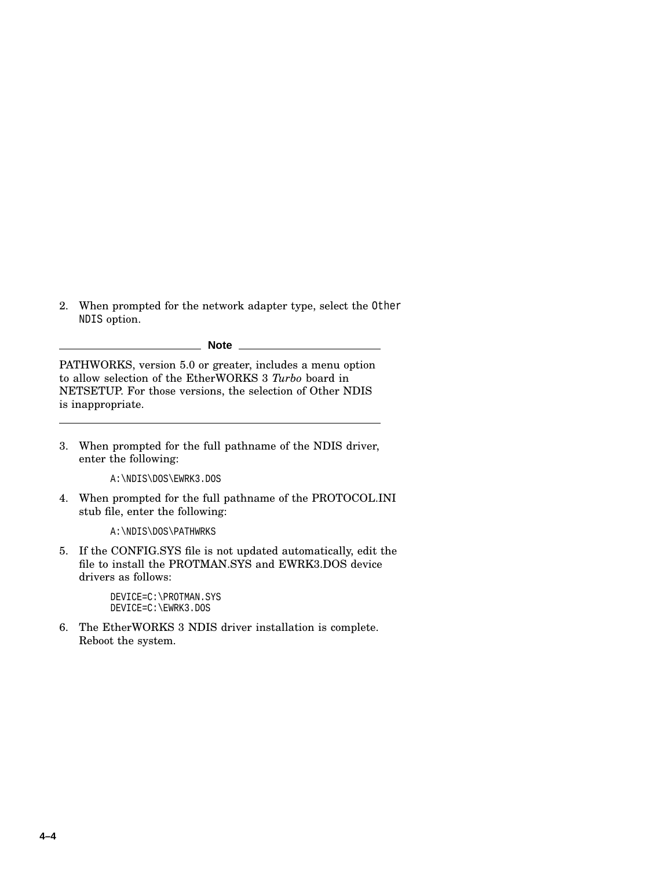2. When prompted for the network adapter type, select the Other NDIS option.

**Note**

PATHWORKS, version 5.0 or greater, includes a menu option to allow selection of the EtherWORKS 3 *Turbo* board in NETSETUP. For those versions, the selection of Other NDIS is inappropriate.

3. When prompted for the full pathname of the NDIS driver, enter the following:

A:\NDIS\DOS\EWRK3.DOS

4. When prompted for the full pathname of the PROTOCOL.INI stub file, enter the following:

A:\NDIS\DOS\PATHWRKS

5. If the CONFIG.SYS file is not updated automatically, edit the file to install the PROTMAN.SYS and EWRK3.DOS device drivers as follows:

> DEVICE=C:\PROTMAN.SYS DEVICE=C:\EWRK3.DOS

6. The EtherWORKS 3 NDIS driver installation is complete. Reboot the system.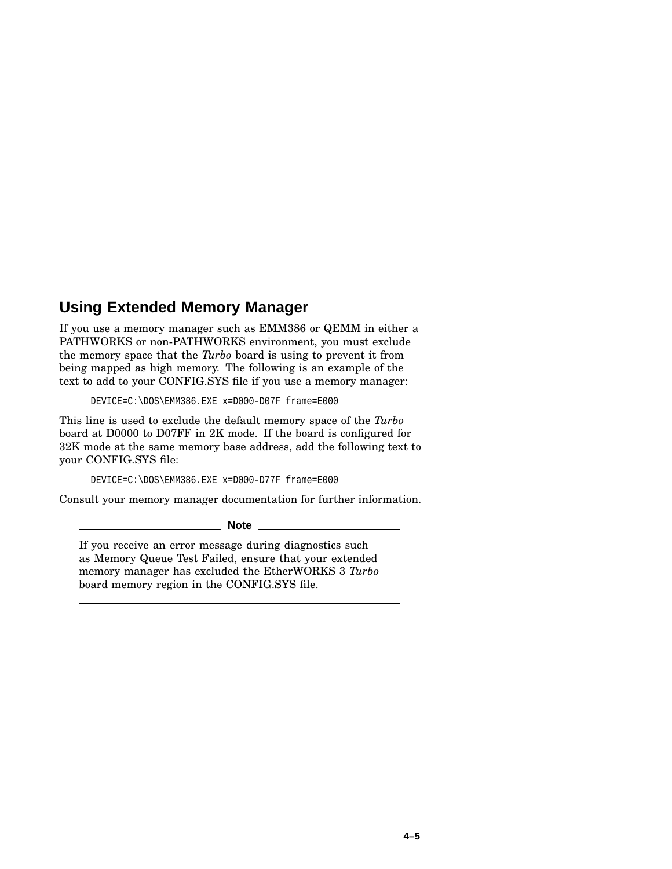### **Using Extended Memory Manager**

If you use a memory manager such as EMM386 or QEMM in either a PATHWORKS or non-PATHWORKS environment, you must exclude the memory space that the *Turbo* board is using to prevent it from being mapped as high memory. The following is an example of the text to add to your CONFIG.SYS file if you use a memory manager:

DEVICE=C:\DOS\EMM386.EXE x=D000-D07F frame=E000

This line is used to exclude the default memory space of the *Turbo* board at D0000 to D07FF in 2K mode. If the board is configured for 32K mode at the same memory base address, add the following text to your CONFIG.SYS file:

DEVICE=C:\DOS\EMM386.EXE x=D000-D77F frame=E000

Consult your memory manager documentation for further information.

**Note**

If you receive an error message during diagnostics such as Memory Queue Test Failed, ensure that your extended memory manager has excluded the EtherWORKS 3 *Turbo* board memory region in the CONFIG.SYS file.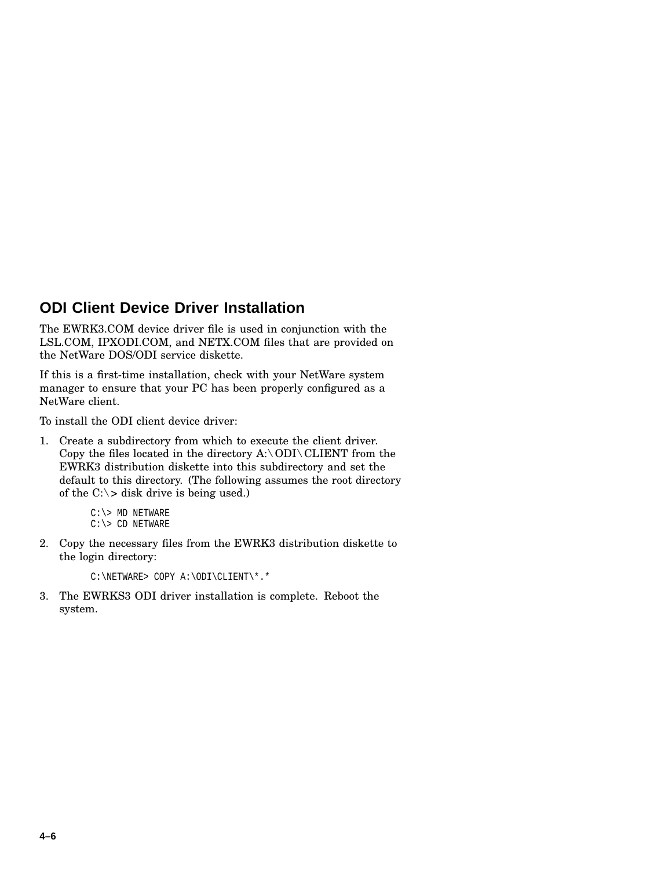#### **ODI Client Device Driver Installation**

The EWRK3.COM device driver file is used in conjunction with the LSL.COM, IPXODI.COM, and NETX.COM files that are provided on the NetWare DOS/ODI service diskette.

If this is a first-time installation, check with your NetWare system manager to ensure that your PC has been properly configured as a NetWare client.

To install the ODI client device driver:

1. Create a subdirectory from which to execute the client driver. Copy the files located in the directory  $A:\ODI\setminus\text{CLIENT}$  from the EWRK3 distribution diskette into this subdirectory and set the default to this directory. (The following assumes the root directory of the  $C$ :  $>$  disk drive is being used.)

```
C:\rangle> MD NETWARE
C:\rangle > CD NETWARE
```
2. Copy the necessary files from the EWRK3 distribution diskette to the login directory:

```
C:\NETWARE> COPY A:\ODI\CLIENT\*.*
```
3. The EWRKS3 ODI driver installation is complete. Reboot the system.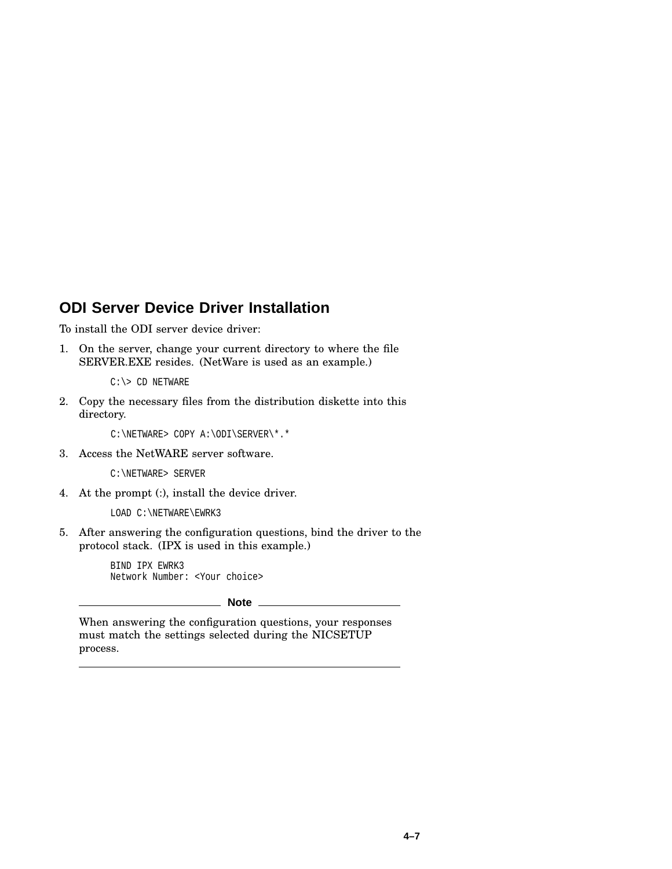#### **ODI Server Device Driver Installation**

To install the ODI server device driver:

1. On the server, change your current directory to where the file SERVER.EXE resides. (NetWare is used as an example.)

 $C:\rangle > CD$  NETWARE

2. Copy the necessary files from the distribution diskette into this directory.

C:\NETWARE> COPY A:\ODI\SERVER\\*.\*

3. Access the NetWARE server software.

C:\NETWARE> SERVER

4. At the prompt (:), install the device driver.

LOAD C:\NETWARE\EWRK3

5. After answering the configuration questions, bind the driver to the protocol stack. (IPX is used in this example.)

> BIND IPX EWRK3 Network Number: <Your choice>

> > **Note**

When answering the configuration questions, your responses must match the settings selected during the NICSETUP process.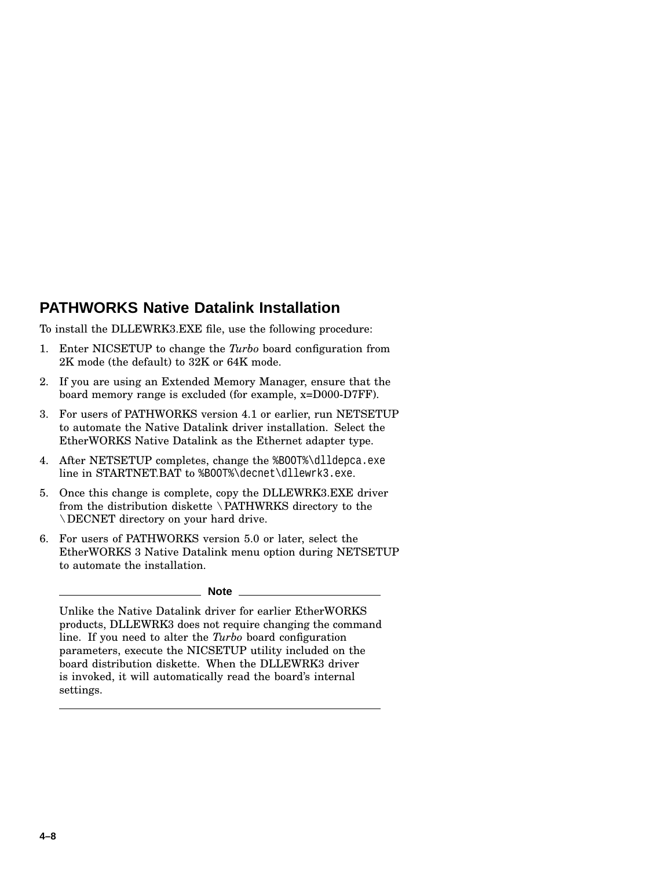### **PATHWORKS Native Datalink Installation**

To install the DLLEWRK3.EXE file, use the following procedure:

- 1. Enter NICSETUP to change the *Turbo* board configuration from 2K mode (the default) to 32K or 64K mode.
- 2. If you are using an Extended Memory Manager, ensure that the board memory range is excluded (for example, x=D000-D7FF).
- 3. For users of PATHWORKS version 4.1 or earlier, run NETSETUP to automate the Native Datalink driver installation. Select the EtherWORKS Native Datalink as the Ethernet adapter type.
- 4. After NETSETUP completes, change the %B00T%\dlldepca.exe line in STARTNET.BAT to %BOOT%\decnet\dllewrk3.exe.
- 5. Once this change is complete, copy the DLLEWRK3.EXE driver from the distribution diskette \PATHWRKS directory to the \DECNET directory on your hard drive.
- 6. For users of PATHWORKS version 5.0 or later, select the EtherWORKS 3 Native Datalink menu option during NETSETUP to automate the installation.

#### **Note**

Unlike the Native Datalink driver for earlier EtherWORKS products, DLLEWRK3 does not require changing the command line. If you need to alter the *Turbo* board configuration parameters, execute the NICSETUP utility included on the board distribution diskette. When the DLLEWRK3 driver is invoked, it will automatically read the board's internal settings.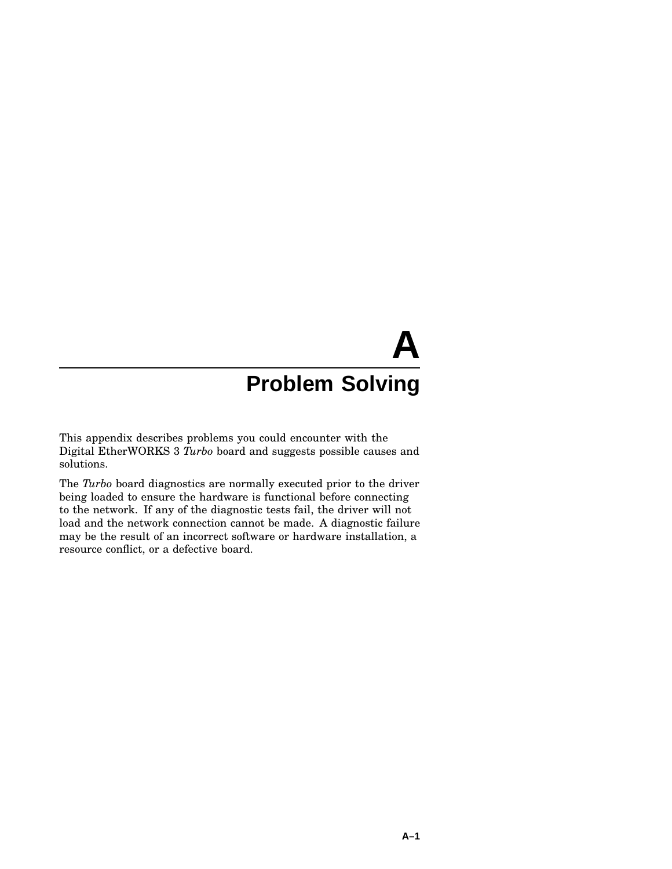# **A Problem Solving**

This appendix describes problems you could encounter with the Digital EtherWORKS 3 *Turbo* board and suggests possible causes and solutions.

The *Turbo* board diagnostics are normally executed prior to the driver being loaded to ensure the hardware is functional before connecting to the network. If any of the diagnostic tests fail, the driver will not load and the network connection cannot be made. A diagnostic failure may be the result of an incorrect software or hardware installation, a resource conflict, or a defective board.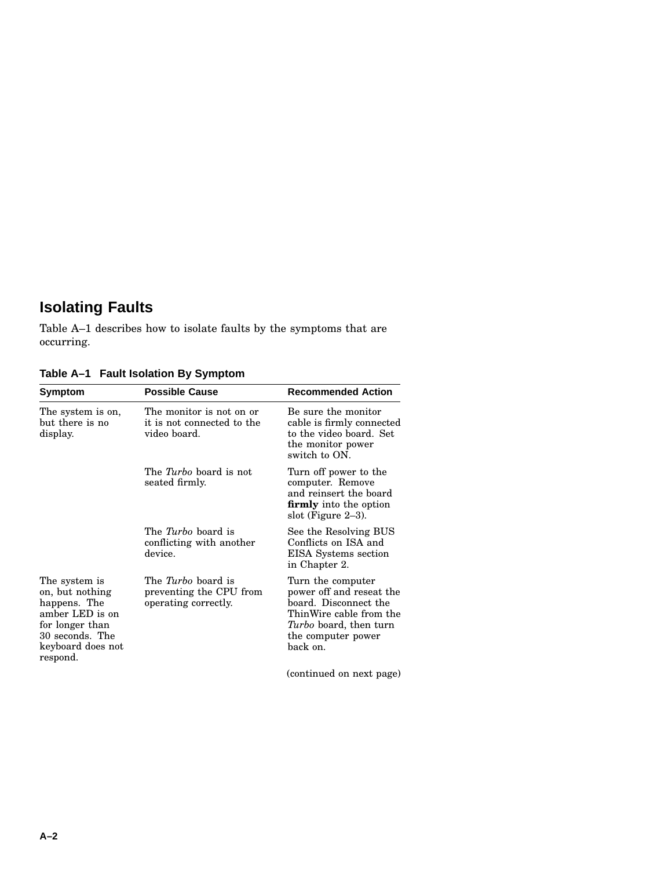## **Isolating Faults**

Table A–1 describes how to isolate faults by the symptoms that are occurring.

| Symptom                                                                                                                                    | <b>Possible Cause</b>                                                        | <b>Recommended Action</b>                                                                                                                                            |
|--------------------------------------------------------------------------------------------------------------------------------------------|------------------------------------------------------------------------------|----------------------------------------------------------------------------------------------------------------------------------------------------------------------|
| The system is on,<br>but there is no<br>display.                                                                                           | The monitor is not on or<br>it is not connected to the<br>video board.       | Be sure the monitor<br>cable is firmly connected<br>to the video board. Set<br>the monitor power<br>switch to ON.                                                    |
|                                                                                                                                            | The <i>Turbo</i> board is not<br>seated firmly.                              | Turn off power to the<br>computer. Remove<br>and reinsert the board<br><b>firmly</b> into the option<br>slot (Figure $2-3$ ).                                        |
|                                                                                                                                            | The <i>Turbo</i> board is<br>conflicting with another<br>device.             | See the Resolving BUS<br>Conflicts on ISA and<br>EISA Systems section<br>in Chapter 2.                                                                               |
| The system is<br>on, but nothing<br>happens. The<br>amber LED is on<br>for longer than<br>30 seconds. The<br>keyboard does not<br>respond. | The <i>Turbo</i> board is<br>preventing the CPU from<br>operating correctly. | Turn the computer<br>power off and reseat the<br>board. Disconnect the<br>ThinWire cable from the<br><i>Turbo</i> board, then turn<br>the computer power<br>back on. |
|                                                                                                                                            |                                                                              | (continued on next page)                                                                                                                                             |

**Table A–1 Fault Isolation By Symptom**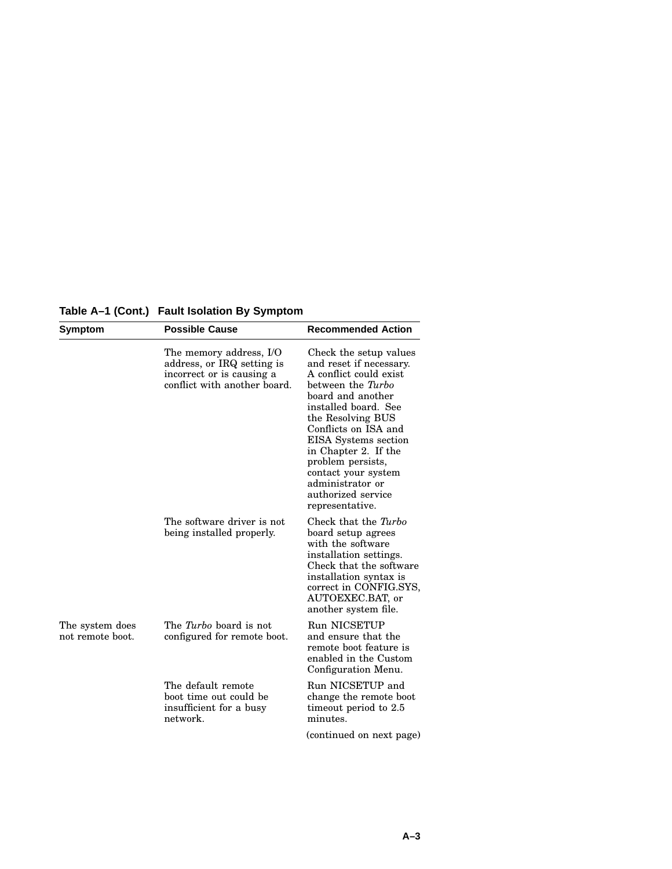|  | Table A–1 (Cont.) Fault Isolation By Symptom |  |  |
|--|----------------------------------------------|--|--|
|--|----------------------------------------------|--|--|

| Symptom                             | <b>Possible Cause</b>                                                                                              | <b>Recommended Action</b>                                                                                                                                                                                                                                                                                                                           |
|-------------------------------------|--------------------------------------------------------------------------------------------------------------------|-----------------------------------------------------------------------------------------------------------------------------------------------------------------------------------------------------------------------------------------------------------------------------------------------------------------------------------------------------|
|                                     | The memory address, I/O<br>address, or IRQ setting is<br>incorrect or is causing a<br>conflict with another board. | Check the setup values<br>and reset if necessary.<br>A conflict could exist<br>between the Turbo<br>board and another<br>installed board. See<br>the Resolving BUS<br>Conflicts on ISA and<br>EISA Systems section<br>in Chapter 2. If the<br>problem persists,<br>contact your system<br>administrator or<br>authorized service<br>representative. |
|                                     | The software driver is not<br>being installed properly.                                                            | Check that the Turbo<br>board setup agrees<br>with the software<br>installation settings.<br>Check that the software<br>installation syntax is<br>correct in CONFIG.SYS,<br>AUTOEXEC.BAT, or<br>another system file.                                                                                                                                |
| The system does<br>not remote boot. | The Turbo board is not<br>configured for remote boot.                                                              | <b>Run NICSETUP</b><br>and ensure that the<br>remote boot feature is<br>enabled in the Custom<br>Configuration Menu.                                                                                                                                                                                                                                |
|                                     | The default remote<br>boot time out could be<br>insufficient for a busy<br>network.                                | Run NICSETUP and<br>change the remote boot<br>timeout period to 2.5<br>minutes.<br>(continued on next page)                                                                                                                                                                                                                                         |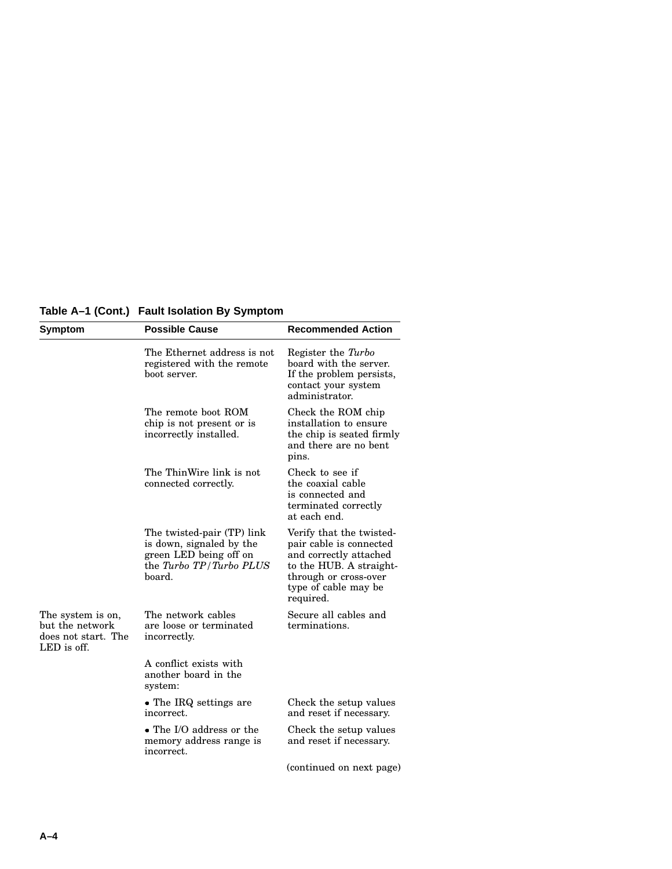**Table A–1 (Cont.) Fault Isolation By Symptom**

| Symptom                                                                    | <b>Possible Cause</b>                                                                                                 | <b>Recommended Action</b>                                                                                                                                              |
|----------------------------------------------------------------------------|-----------------------------------------------------------------------------------------------------------------------|------------------------------------------------------------------------------------------------------------------------------------------------------------------------|
|                                                                            | The Ethernet address is not<br>registered with the remote<br>boot server.                                             | Register the Turbo<br>board with the server.<br>If the problem persists,<br>contact your system<br>administrator.                                                      |
|                                                                            | The remote boot ROM<br>chip is not present or is<br>incorrectly installed.                                            | Check the ROM chip<br>installation to ensure<br>the chip is seated firmly<br>and there are no bent<br>pins.                                                            |
|                                                                            | The ThinWire link is not<br>connected correctly.                                                                      | Check to see if<br>the coaxial cable<br>is connected and<br>terminated correctly<br>at each end.                                                                       |
|                                                                            | The twisted-pair (TP) link<br>is down, signaled by the<br>green LED being off on<br>the Turbo TP/Turbo PLUS<br>board. | Verify that the twisted-<br>pair cable is connected<br>and correctly attached<br>to the HUB. A straight-<br>through or cross-over<br>type of cable may be<br>required. |
| The system is on,<br>but the network<br>does not start. The<br>LED is off. | The network cables<br>are loose or terminated<br>incorrectly.                                                         | Secure all cables and<br>terminations.                                                                                                                                 |
|                                                                            | A conflict exists with<br>another board in the<br>system:                                                             |                                                                                                                                                                        |
|                                                                            | • The IRQ settings are<br>incorrect.                                                                                  | Check the setup values<br>and reset if necessary.                                                                                                                      |
|                                                                            | . The I/O address or the<br>memory address range is<br>incorrect.                                                     | Check the setup values<br>and reset if necessary.                                                                                                                      |
|                                                                            |                                                                                                                       | (continued on next page)                                                                                                                                               |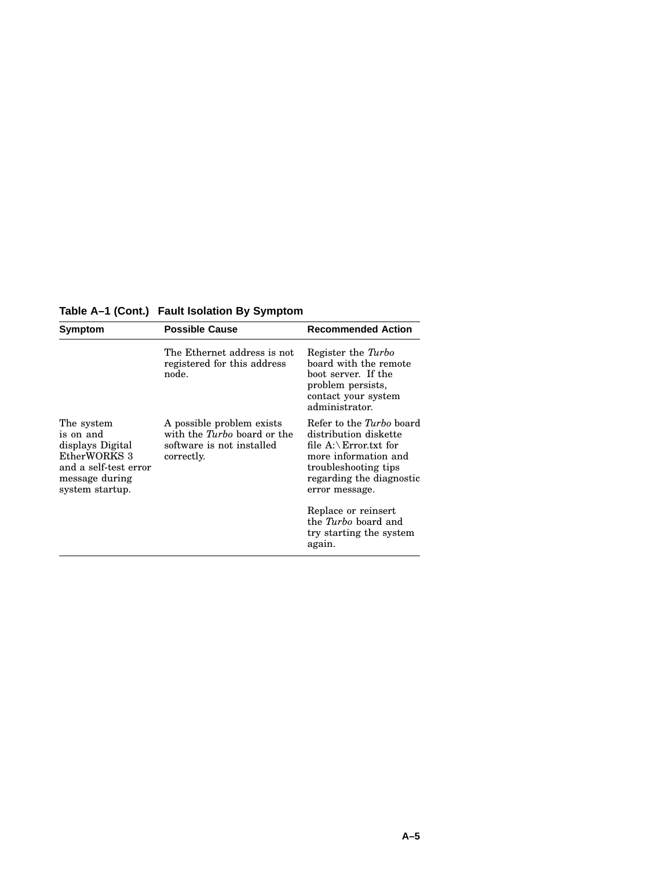**Table A–1 (Cont.) Fault Isolation By Symptom**

| Symptom                                                                                                                   | <b>Possible Cause</b>                                                                                      | <b>Recommended Action</b>                                                                                                                                                    |
|---------------------------------------------------------------------------------------------------------------------------|------------------------------------------------------------------------------------------------------------|------------------------------------------------------------------------------------------------------------------------------------------------------------------------------|
|                                                                                                                           | The Ethernet address is not<br>registered for this address<br>node.                                        | Register the Turbo<br>board with the remote<br>boot server. If the<br>problem persists.<br>contact your system<br>administrator.                                             |
| The system<br>is on and<br>displays Digital<br>EtherWORKS 3<br>and a self-test error<br>message during<br>system startup. | A possible problem exists<br>with the <i>Turbo</i> board or the<br>software is not installed<br>correctly. | Refer to the Turbo board<br>distribution diskette<br>file $A:\ E$ rror.txt for<br>more information and<br>troubleshooting tips<br>regarding the diagnostic<br>error message. |
|                                                                                                                           |                                                                                                            | Replace or reinsert<br>the <i>Turbo</i> board and<br>try starting the system<br>again.                                                                                       |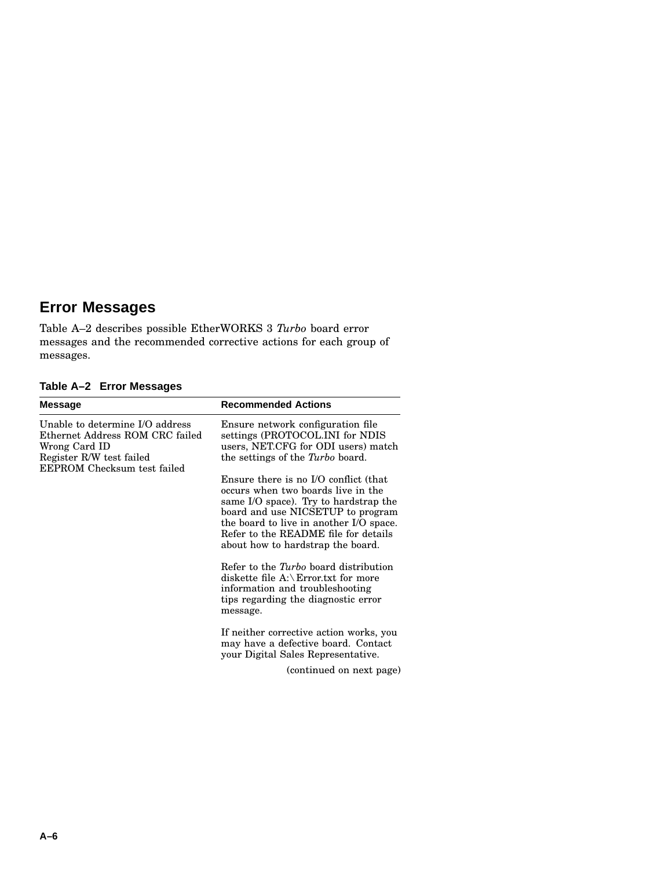## **Error Messages**

Table A–2 describes possible EtherWORKS 3 *Turbo* board error messages and the recommended corrective actions for each group of messages.

**Table A–2 Error Messages**

| Message                                                                                                                                        | <b>Recommended Actions</b>                                                                                                                                                                                                                                                        |
|------------------------------------------------------------------------------------------------------------------------------------------------|-----------------------------------------------------------------------------------------------------------------------------------------------------------------------------------------------------------------------------------------------------------------------------------|
| Unable to determine I/O address<br>Ethernet Address ROM CRC failed<br>Wrong Card ID<br>Register R/W test failed<br>EEPROM Checksum test failed | Ensure network configuration file<br>settings (PROTOCOL.INI for NDIS<br>users, NET.CFG for ODI users) match<br>the settings of the <i>Turbo</i> board.                                                                                                                            |
|                                                                                                                                                | Ensure there is no I/O conflict (that<br>occurs when two boards live in the<br>same I/O space). Try to hardstrap the<br>board and use NICSETUP to program<br>the board to live in another I/O space.<br>Refer to the README file for details<br>about how to hardstrap the board. |
|                                                                                                                                                | Refer to the <i>Turbo</i> board distribution<br>diskette file $A:\$ Error.txt for more<br>information and troubleshooting<br>tips regarding the diagnostic error<br>message.                                                                                                      |
|                                                                                                                                                | If neither corrective action works, you<br>may have a defective board. Contact<br>your Digital Sales Representative.                                                                                                                                                              |
|                                                                                                                                                | (continued on next page)                                                                                                                                                                                                                                                          |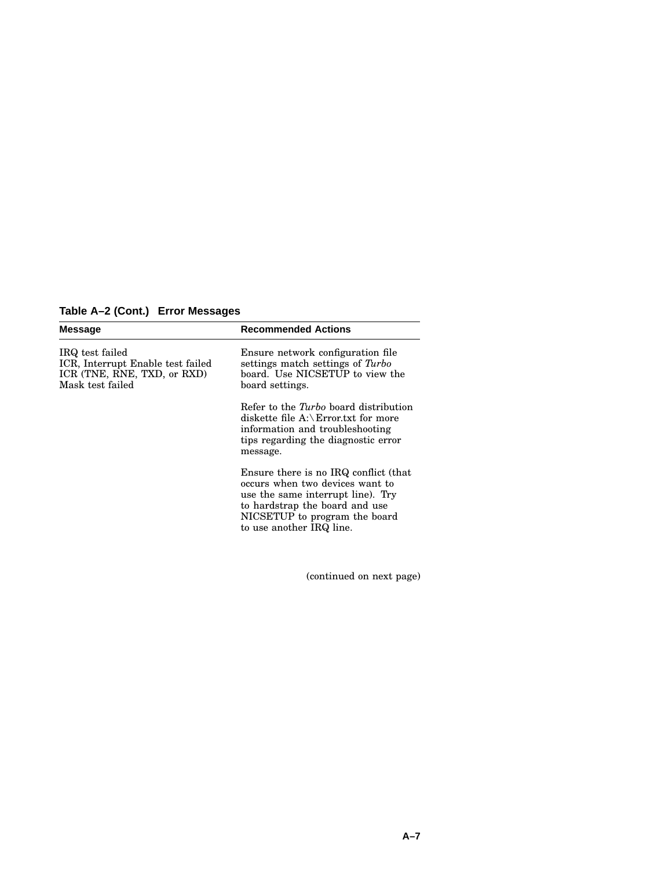**Table A–2 (Cont.) Error Messages**

| <b>Message</b>                                                                                          | <b>Recommended Actions</b>                                                                                                                                                                                   |
|---------------------------------------------------------------------------------------------------------|--------------------------------------------------------------------------------------------------------------------------------------------------------------------------------------------------------------|
| IRQ test failed<br>ICR, Interrupt Enable test failed<br>ICR (TNE, RNE, TXD, or RXD)<br>Mask test failed | Ensure network configuration file<br>settings match settings of Turbo<br>board. Use NICSETUP to view the<br>board settings.                                                                                  |
|                                                                                                         | Refer to the <i>Turbo</i> board distribution<br>diskette file $A:\ E$ rror.txt for more<br>information and troubleshooting<br>tips regarding the diagnostic error<br>message.                                |
|                                                                                                         | Ensure there is no IRQ conflict (that<br>occurs when two devices want to<br>use the same interrupt line). Try<br>to hardstrap the board and use<br>NICSETUP to program the board<br>to use another IRQ line. |

(continued on next page)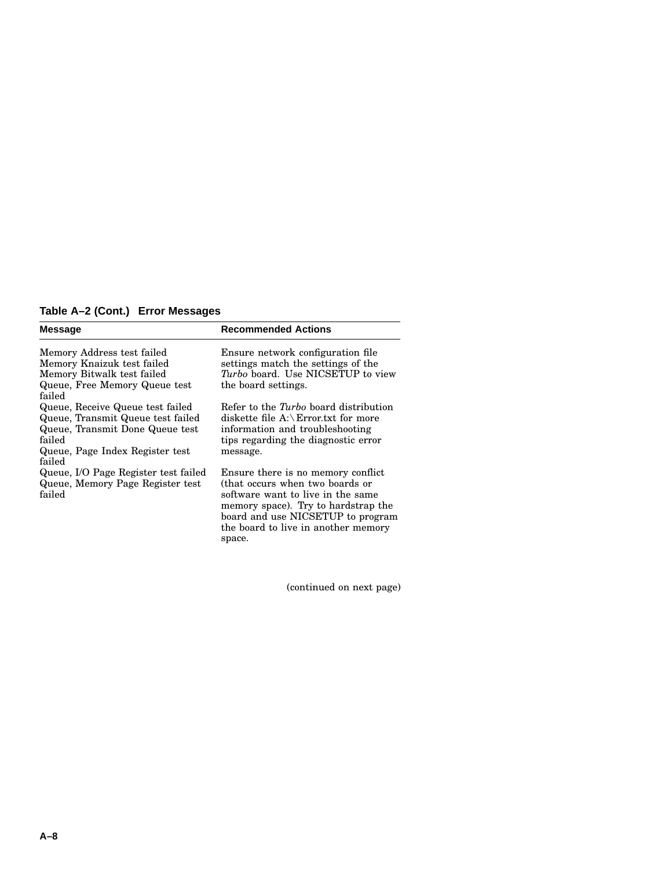#### **Table A–2 (Cont.) Error Messages**

| <b>Message</b>                                                                                                                                                  | <b>Recommended Actions</b>                                                                                                                                                                                                    |
|-----------------------------------------------------------------------------------------------------------------------------------------------------------------|-------------------------------------------------------------------------------------------------------------------------------------------------------------------------------------------------------------------------------|
| Memory Address test failed<br>Memory Knaizuk test failed<br>Memory Bitwalk test failed<br>Queue, Free Memory Queue test<br>failed                               | Ensure network configuration file<br>settings match the settings of the<br>Turbo board. Use NICSETUP to view<br>the board settings.                                                                                           |
| Queue, Receive Queue test failed<br>Queue, Transmit Queue test failed<br>Queue, Transmit Done Queue test<br>failed<br>Queue, Page Index Register test<br>failed | Refer to the <i>Turbo</i> board distribution<br>diskette file $A:\$ Error.txt for more<br>information and troubleshooting<br>tips regarding the diagnostic error<br>message.                                                  |
| Queue, I/O Page Register test failed<br>Queue, Memory Page Register test<br>failed                                                                              | Ensure there is no memory conflict<br>(that occurs when two boards or<br>software want to live in the same<br>memory space). Try to hardstrap the<br>board and use NICSETUP to program<br>the board to live in another memory |

space.

(continued on next page)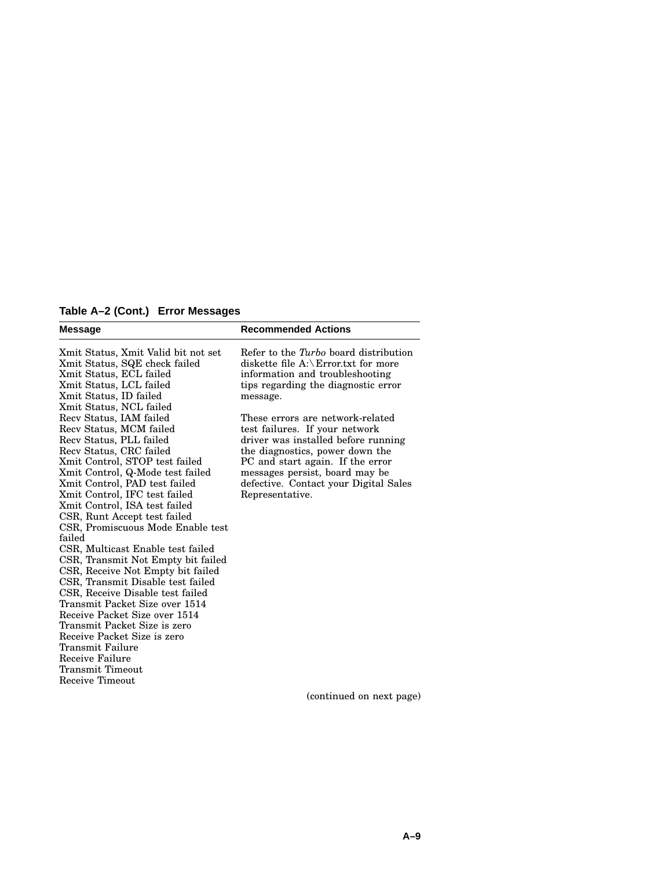**Table A–2 (Cont.) Error Messages**

| <b>Message</b>                      | <b>Recommended Actions</b>             |
|-------------------------------------|----------------------------------------|
| Xmit Status, Xmit Valid bit not set | Refer to the Turbo board distribution  |
| Xmit Status, SQE check failed       | diskette file $A:\$ Error.txt for more |
| Xmit Status, ECL failed             | information and troubleshooting        |
| Xmit Status, LCL failed             | tips regarding the diagnostic error    |
| Xmit Status, ID failed              | message.                               |
| Xmit Status, NCL failed             |                                        |
| Recv Status, IAM failed             | These errors are network-related       |
| Recv Status, MCM failed             | test failures. If your network         |
| Recv Status, PLL failed             | driver was installed before running    |
| Recy Status, CRC failed             | the diagnostics, power down the        |
| Xmit Control, STOP test failed      | PC and start again. If the error       |
| Xmit Control, Q-Mode test failed    | messages persist, board may be         |
| Xmit Control, PAD test failed       | defective. Contact your Digital Sales  |
| Xmit Control, IFC test failed       | Representative.                        |
| Xmit Control, ISA test failed       |                                        |
| CSR, Runt Accept test failed        |                                        |
| CSR, Promiscuous Mode Enable test   |                                        |
| failed                              |                                        |
| CSR, Multicast Enable test failed   |                                        |
| CSR, Transmit Not Empty bit failed  |                                        |
| CSR, Receive Not Empty bit failed   |                                        |
| CSR, Transmit Disable test failed   |                                        |
| CSR, Receive Disable test failed    |                                        |
| Transmit Packet Size over 1514      |                                        |
| Receive Packet Size over 1514       |                                        |
| Transmit Packet Size is zero        |                                        |
| Receive Packet Size is zero         |                                        |
| Transmit Failure                    |                                        |
| Receive Failure                     |                                        |
| Transmit Timeout                    |                                        |
| Receive Timeout                     |                                        |
|                                     | (continued on next page)               |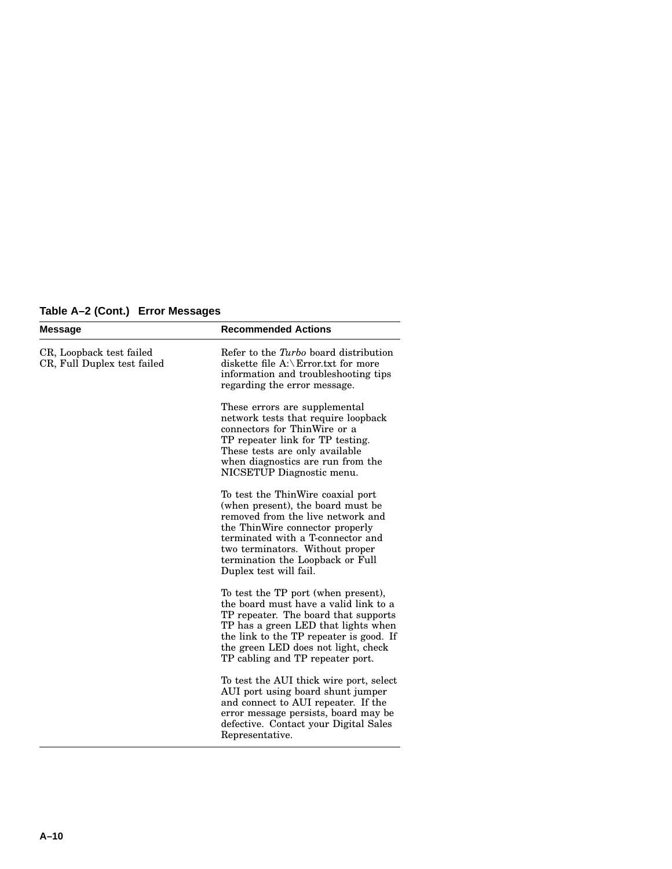|  | Table A-2 (Cont.) Error Messages |  |  |  |
|--|----------------------------------|--|--|--|
|--|----------------------------------|--|--|--|

| <b>Message</b>                                          | <b>Recommended Actions</b>                                                                                                                                                                                                                                                           |
|---------------------------------------------------------|--------------------------------------------------------------------------------------------------------------------------------------------------------------------------------------------------------------------------------------------------------------------------------------|
| CR, Loopback test failed<br>CR, Full Duplex test failed | Refer to the Turbo board distribution<br>diskette file $A:\$ Error.txt for more<br>information and troubleshooting tips<br>regarding the error message.                                                                                                                              |
|                                                         | These errors are supplemental<br>network tests that require loopback<br>connectors for ThinWire or a<br>TP repeater link for TP testing.<br>These tests are only available<br>when diagnostics are run from the<br>NICSETUP Diagnostic menu.                                         |
|                                                         | To test the ThinWire coaxial port<br>(when present), the board must be<br>removed from the live network and<br>the ThinWire connector properly<br>terminated with a T-connector and<br>two terminators. Without proper<br>termination the Loopback or Full<br>Duplex test will fail. |
|                                                         | To test the TP port (when present),<br>the board must have a valid link to a<br>TP repeater. The board that supports<br>TP has a green LED that lights when<br>the link to the TP repeater is good. If<br>the green LED does not light, check<br>TP cabling and TP repeater port.    |
|                                                         | To test the AUI thick wire port, select<br>AUI port using board shunt jumper<br>and connect to AUI repeater. If the<br>error message persists, board may be<br>defective. Contact your Digital Sales<br>Representative.                                                              |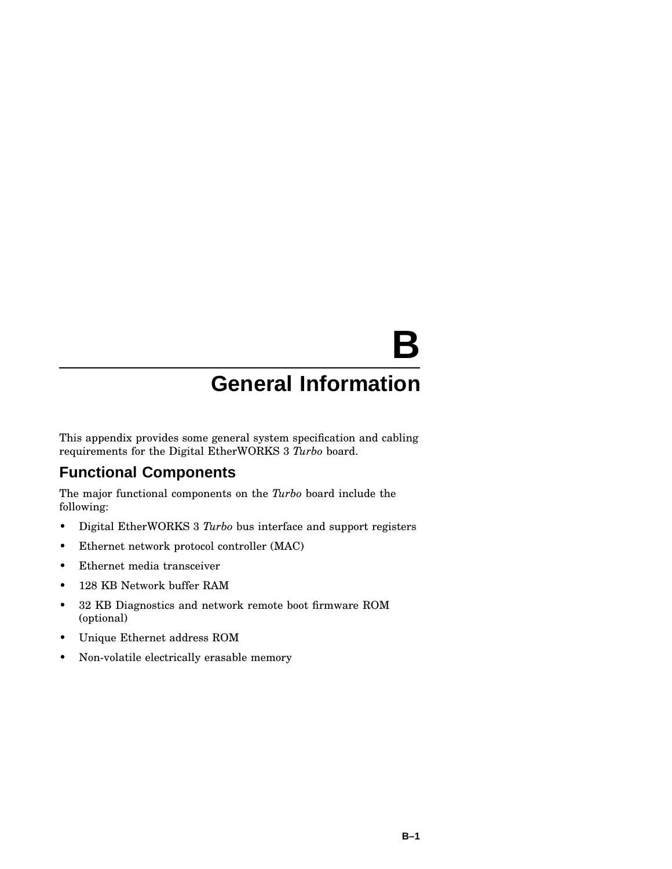# **B**

# **General Information**

This appendix provides some general system specification and cabling requirements for the Digital EtherWORKS 3 *Turbo* board.

## **Functional Components**

The major functional components on the *Turbo* board include the following:

- Digital EtherWORKS 3 *Turbo* bus interface and support registers
- Ethernet network protocol controller (MAC)
- Ethernet media transceiver
- 128 KB Network buffer RAM
- 32 KB Diagnostics and network remote boot firmware ROM (optional)
- Unique Ethernet address ROM
- Non-volatile electrically erasable memory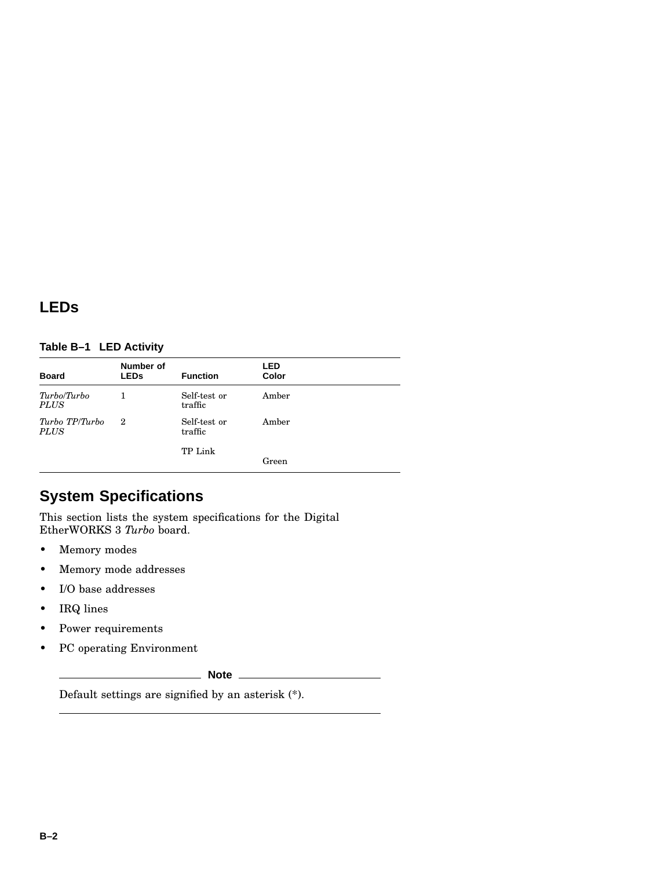## **LEDs**

#### **Table B–1 LED Activity**

| <b>Board</b>                  | Number of<br><b>LEDs</b> | <b>Function</b>         | LED<br>Color |  |
|-------------------------------|--------------------------|-------------------------|--------------|--|
| Turbo/Turbo<br><b>PLUS</b>    |                          | Self-test or<br>traffic | Amber        |  |
| Turbo TP/Turbo<br><b>PLUS</b> | $\boldsymbol{2}$         | Self-test or<br>traffic | Amber        |  |
|                               |                          | TP Link                 | Green        |  |

## **System Specifications**

This section lists the system specifications for the Digital EtherWORKS 3 *Turbo* board.

- Memory modes
- Memory mode addresses
- I/O base addresses
- IRQ lines
- Power requirements
- PC operating Environment

**Note**

Default settings are signified by an asterisk (\*).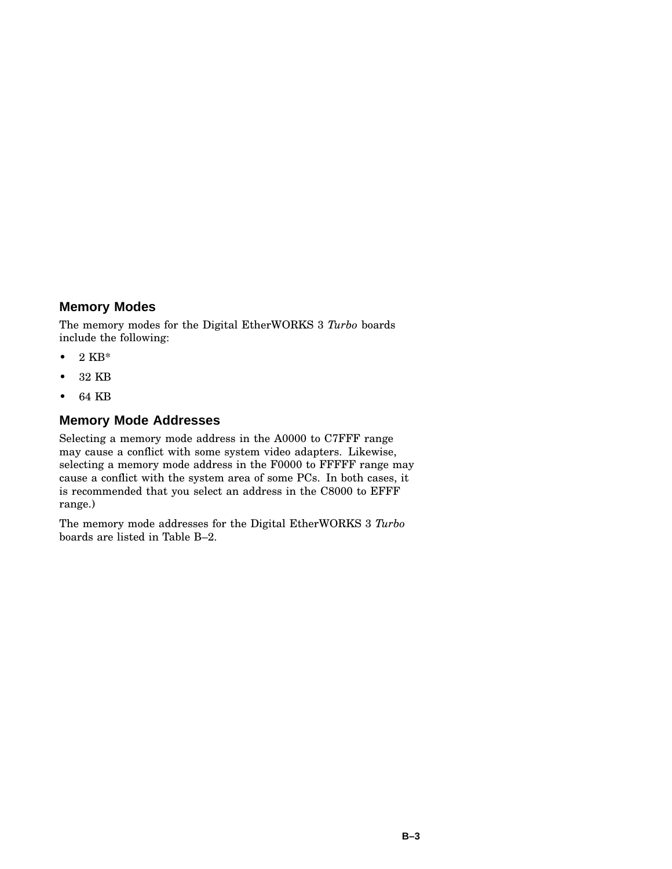#### **Memory Modes**

The memory modes for the Digital EtherWORKS 3 *Turbo* boards include the following:

- $\bullet$  2 KB\*
- 32 KB
- 64 KB

#### **Memory Mode Addresses**

Selecting a memory mode address in the A0000 to C7FFF range may cause a conflict with some system video adapters. Likewise, selecting a memory mode address in the F0000 to FFFFF range may cause a conflict with the system area of some PCs. In both cases, it is recommended that you select an address in the C8000 to EFFF range.)

The memory mode addresses for the Digital EtherWORKS 3 *Turbo* boards are listed in Table B–2.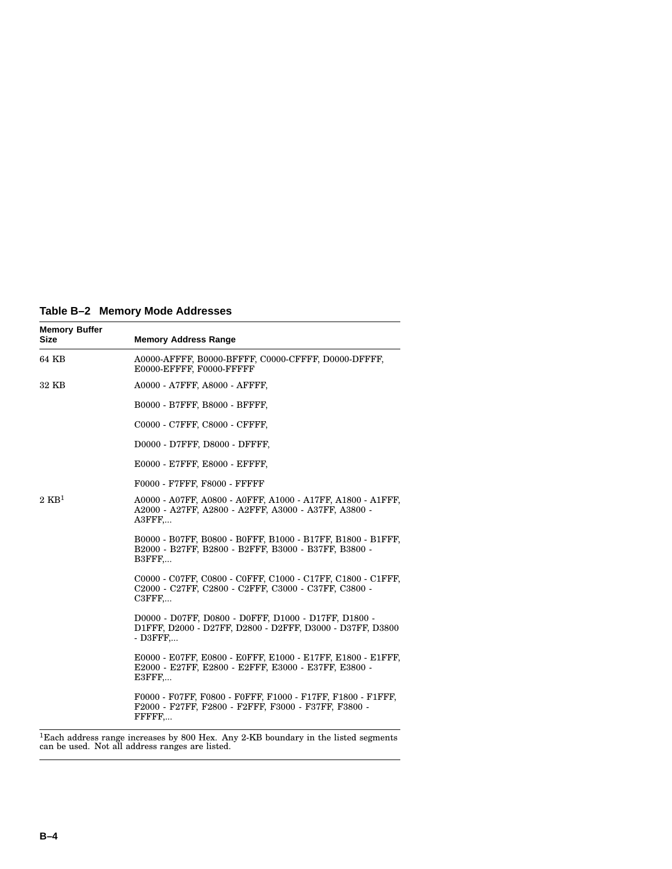**Table B–2 Memory Mode Addresses**

| <b>Memory Buffer</b><br><b>Size</b> | <b>Memory Address Range</b>                                                                                                                |
|-------------------------------------|--------------------------------------------------------------------------------------------------------------------------------------------|
| 64 KB                               | A0000-AFFFF, B0000-BFFFF, C0000-CFFFF, D0000-DFFFF,<br>E0000-EFFFF, F0000-FFFFF                                                            |
| 32 KB                               | A0000 - A7FFF, A8000 - AFFFF,                                                                                                              |
|                                     | B0000 - B7FFF, B8000 - BFFFF,                                                                                                              |
|                                     | C0000 - C7FFF, C8000 - CFFFF,                                                                                                              |
|                                     | D0000 - D7FFF, D8000 - DFFFF,                                                                                                              |
|                                     | E0000 - E7FFF, E8000 - EFFFF,                                                                                                              |
|                                     | F0000 - F7FFF, F8000 - FFFFF                                                                                                               |
| $2 \text{ KB}^1$                    | A0000 - A07FF, A0800 - A0FFF, A1000 - A17FF, A1800 - A1FFF,<br>A2000 - A27FF, A2800 - A2FFF, A3000 - A37FF, A3800 -<br>A3FFF               |
|                                     | B0000 - B07FF, B0800 - B0FFF, B1000 - B17FF, B1800 - B1FFF,<br>B2000 - B27FF, B2800 - B2FFF, B3000 - B37FF, B3800 -<br>B3FFF,              |
|                                     | C0000 - C07FF, C0800 - C0FFF, C1000 - C17FF, C1800 - C1FFF,<br>C2000 - C27FF, C2800 - C2FFF, C3000 - C37FF, C3800 -<br>$C3$ $F$ $F$ $F$ $$ |
|                                     | D0000 - D07FF, D0800 - D0FFF, D1000 - D17FF, D1800 -<br>D1FFF, D2000 - D27FF, D2800 - D2FFF, D3000 - D37FF, D3800<br>$-$ D3FFF $\dots$     |
|                                     | E0000 - E07FF, E0800 - E0FFF, E1000 - E17FF, E1800 - E1FFF,<br>E2000 - E27FF, E2800 - E2FFF, E3000 - E37FF, E3800 -<br>E3FFF               |
|                                     | F0000 - F07FF, F0800 - F0FFF, F1000 - F17FF, F1800 - F1FFF,<br>F2000 - F27FF, F2800 - F2FFF, F3000 - F37FF, F3800 -<br>FFFFF               |
| $1 - 1$<br>1.1                      | 0.77D.1<br>$0.00$ TT                                                                                                                       |

 $^1$ Each address range increases by 800 Hex. Any 2-KB boundary in the listed segments can be used. Not all address ranges are listed.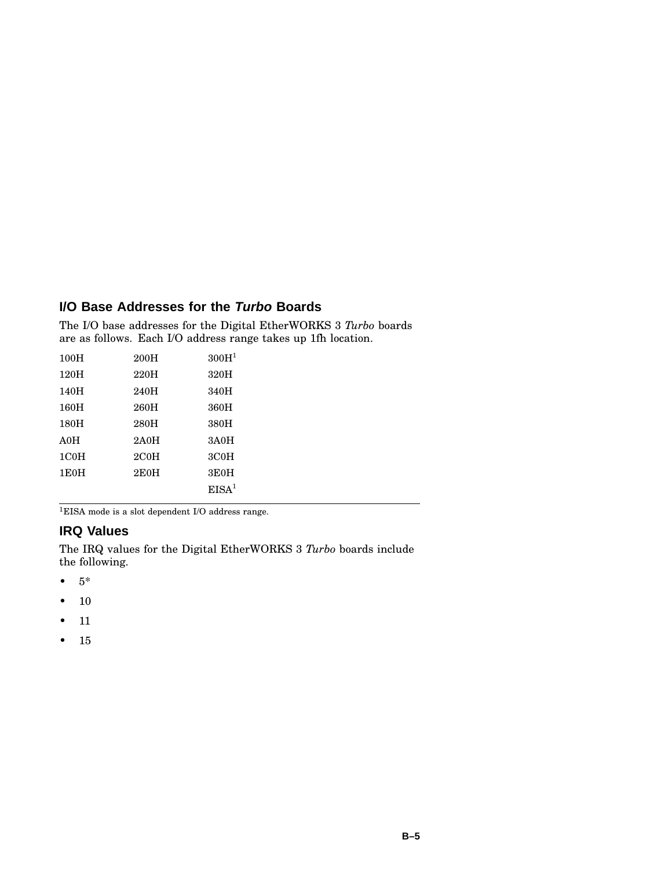#### **I/O Base Addresses for the Turbo Boards**

The I/O base addresses for the Digital EtherWORKS 3 *Turbo* boards are as follows. Each I/O address range takes up 1fh location.

| 100H              | 200H | 300H <sup>1</sup> |
|-------------------|------|-------------------|
| 120H              | 220H | 320H              |
| 140H              | 240H | 340H              |
| 160H              | 260H | 360H              |
| 180H              | 280H | 380H              |
| A0H               | 2A0H | 3A0H              |
| 1C <sub>0</sub> H | 2COH | 3C <sub>0</sub> H |
| 1E0H              | 2EOH | 3E0H              |
|                   |      | EISA <sup>1</sup> |
|                   |      |                   |

 $^1\rm EISA$  mode is a slot dependent I/O address range.

#### **IRQ Values**

The IRQ values for the Digital EtherWORKS 3 *Turbo* boards include the following.

- $5*$
- 10
- 11
- 15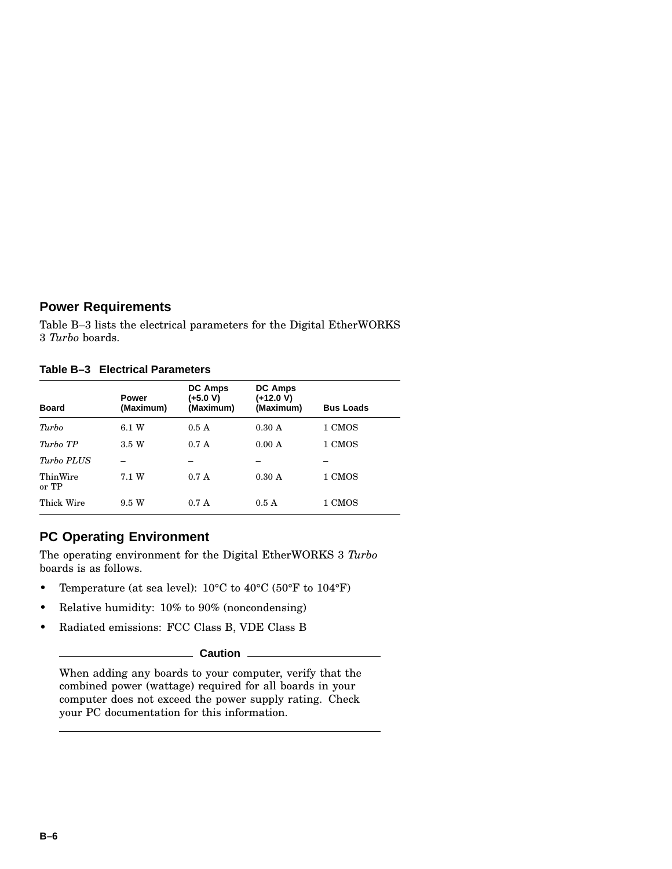#### **Power Requirements**

Table B–3 lists the electrical parameters for the Digital EtherWORKS 3 *Turbo* boards.

**Table B–3 Electrical Parameters**

| <b>Board</b>      | <b>Power</b><br>(Maximum) | <b>DC Amps</b><br>(+5.0 V)<br>(Maximum) | <b>DC Amps</b><br>(+12.0 V)<br>(Maximum) | <b>Bus Loads</b> |
|-------------------|---------------------------|-----------------------------------------|------------------------------------------|------------------|
| Turbo             | 6.1 W                     | 0.5A                                    | 0.30 A                                   | 1 CMOS           |
| Turbo TP          | 3.5 W                     | 0.7A                                    | 0.00 A                                   | 1 CMOS           |
| Turbo PLUS        |                           |                                         |                                          |                  |
| ThinWire<br>or TP | 7.1 W                     | 0.7A                                    | 0.30 A                                   | 1 CMOS           |
| Thick Wire        | 9.5 W                     | 0.7A                                    | 0.5A                                     | 1 CMOS           |

#### **PC Operating Environment**

The operating environment for the Digital EtherWORKS 3 *Turbo* boards is as follows.

- Temperature (at sea level): 10°C to 40°C (50°F to 104°F)
- Relative humidity: 10% to 90% (noncondensing)
- Radiated emissions: FCC Class B, VDE Class B

**Caution**

When adding any boards to your computer, verify that the combined power (wattage) required for all boards in your computer does not exceed the power supply rating. Check your PC documentation for this information.